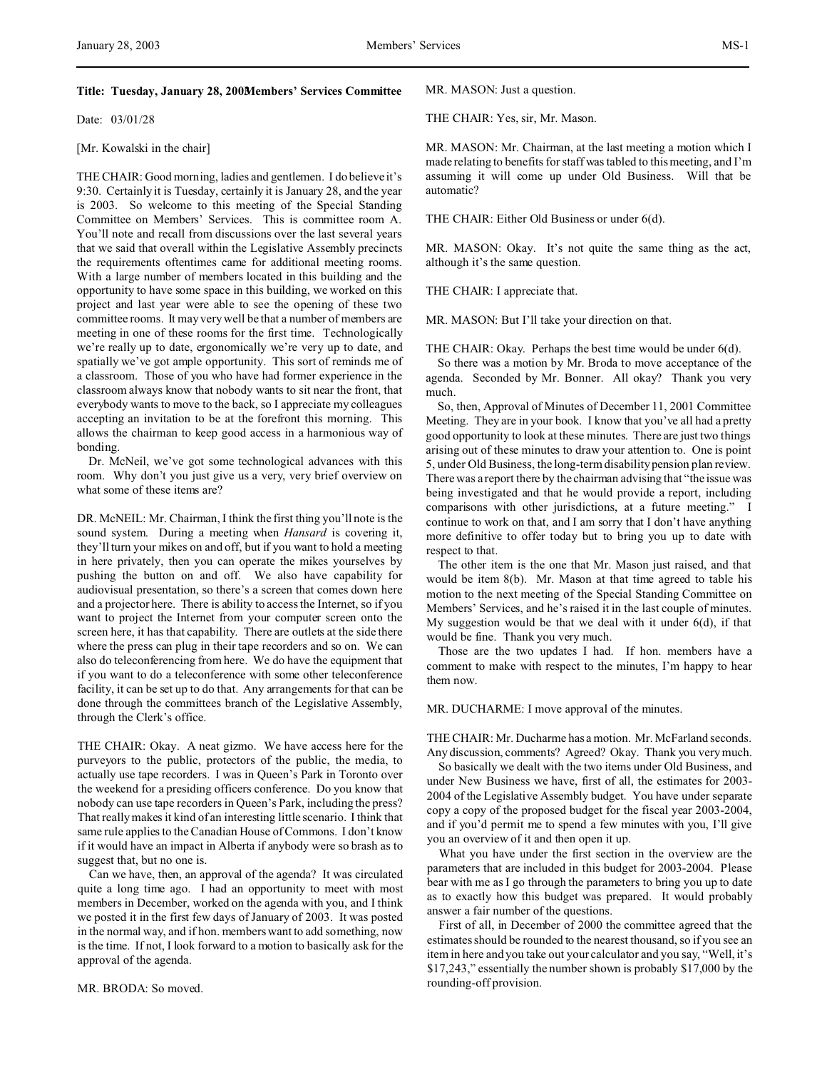## **Title: Tuesday, January 28, 2003Members' Services Committee**

Date: 03/01/28

## [Mr. Kowalski in the chair]

THE CHAIR: Good morning, ladies and gentlemen. I do believe it's 9:30. Certainly it is Tuesday, certainly it is January 28, and the year is 2003. So welcome to this meeting of the Special Standing Committee on Members' Services. This is committee room A. You'll note and recall from discussions over the last several years that we said that overall within the Legislative Assembly precincts the requirements oftentimes came for additional meeting rooms. With a large number of members located in this building and the opportunity to have some space in this building, we worked on this project and last year were able to see the opening of these two committee rooms. It may very well be that a number of members are meeting in one of these rooms for the first time. Technologically we're really up to date, ergonomically we're very up to date, and spatially we've got ample opportunity. This sort of reminds me of a classroom. Those of you who have had former experience in the classroom always know that nobody wants to sit near the front, that everybody wants to move to the back, so I appreciate my colleagues accepting an invitation to be at the forefront this morning. This allows the chairman to keep good access in a harmonious way of bonding.

Dr. McNeil, we've got some technological advances with this room. Why don't you just give us a very, very brief overview on what some of these items are?

DR. McNEIL: Mr. Chairman, I think the first thing you'll note is the sound system. During a meeting when *Hansard* is covering it, they'll turn your mikes on and off, but if you want to hold a meeting in here privately, then you can operate the mikes yourselves by pushing the button on and off. We also have capability for audiovisual presentation, so there's a screen that comes down here and a projector here. There is ability to access the Internet, so if you want to project the Internet from your computer screen onto the screen here, it has that capability. There are outlets at the side there where the press can plug in their tape recorders and so on. We can also do teleconferencing from here. We do have the equipment that if you want to do a teleconference with some other teleconference facility, it can be set up to do that. Any arrangements for that can be done through the committees branch of the Legislative Assembly, through the Clerk's office.

THE CHAIR: Okay. A neat gizmo. We have access here for the purveyors to the public, protectors of the public, the media, to actually use tape recorders. I was in Queen's Park in Toronto over the weekend for a presiding officers conference. Do you know that nobody can use tape recorders in Queen's Park, including the press? That really makes it kind of an interesting little scenario. I think that same rule applies to the Canadian House of Commons. I don't know if it would have an impact in Alberta if anybody were so brash as to suggest that, but no one is.

Can we have, then, an approval of the agenda? It was circulated quite a long time ago. I had an opportunity to meet with most members in December, worked on the agenda with you, and I think we posted it in the first few days of January of 2003. It was posted in the normal way, and if hon. members want to add something, now is the time. If not, I look forward to a motion to basically ask for the approval of the agenda.

MR. BRODA: So moved.

MR. MASON: Just a question.

THE CHAIR: Yes, sir, Mr. Mason.

MR. MASON: Mr. Chairman, at the last meeting a motion which I made relating to benefits for staff was tabled to this meeting, and I'm assuming it will come up under Old Business. Will that be automatic?

THE CHAIR: Either Old Business or under 6(d).

MR. MASON: Okay. It's not quite the same thing as the act, although it's the same question.

THE CHAIR: I appreciate that.

MR. MASON: But I'll take your direction on that.

THE CHAIR: Okay. Perhaps the best time would be under 6(d).

So there was a motion by Mr. Broda to move acceptance of the agenda. Seconded by Mr. Bonner. All okay? Thank you very much.

So, then, Approval of Minutes of December 11, 2001 Committee Meeting. They are in your book. I know that you've all had a pretty good opportunity to look at these minutes. There are just two things arising out of these minutes to draw your attention to. One is point 5, under Old Business, the long-term disability pension plan review. There was a report there by the chairman advising that "the issue was being investigated and that he would provide a report, including comparisons with other jurisdictions, at a future meeting." I continue to work on that, and I am sorry that I don't have anything more definitive to offer today but to bring you up to date with respect to that.

The other item is the one that Mr. Mason just raised, and that would be item 8(b). Mr. Mason at that time agreed to table his motion to the next meeting of the Special Standing Committee on Members' Services, and he's raised it in the last couple of minutes. My suggestion would be that we deal with it under 6(d), if that would be fine. Thank you very much.

Those are the two updates I had. If hon. members have a comment to make with respect to the minutes, I'm happy to hear them now.

## MR. DUCHARME: I move approval of the minutes.

THE CHAIR: Mr. Ducharme has a motion. Mr. McFarland seconds. Any discussion, comments? Agreed? Okay. Thank you very much.

So basically we dealt with the two items under Old Business, and under New Business we have, first of all, the estimates for 2003- 2004 of the Legislative Assembly budget. You have under separate copy a copy of the proposed budget for the fiscal year 2003-2004, and if you'd permit me to spend a few minutes with you, I'll give you an overview of it and then open it up.

What you have under the first section in the overview are the parameters that are included in this budget for 2003-2004. Please bear with me as I go through the parameters to bring you up to date as to exactly how this budget was prepared. It would probably answer a fair number of the questions.

First of all, in December of 2000 the committee agreed that the estimates should be rounded to the nearest thousand, so if you see an item in here and you take out your calculator and you say, "Well, it's \$17,243," essentially the number shown is probably \$17,000 by the rounding-off provision.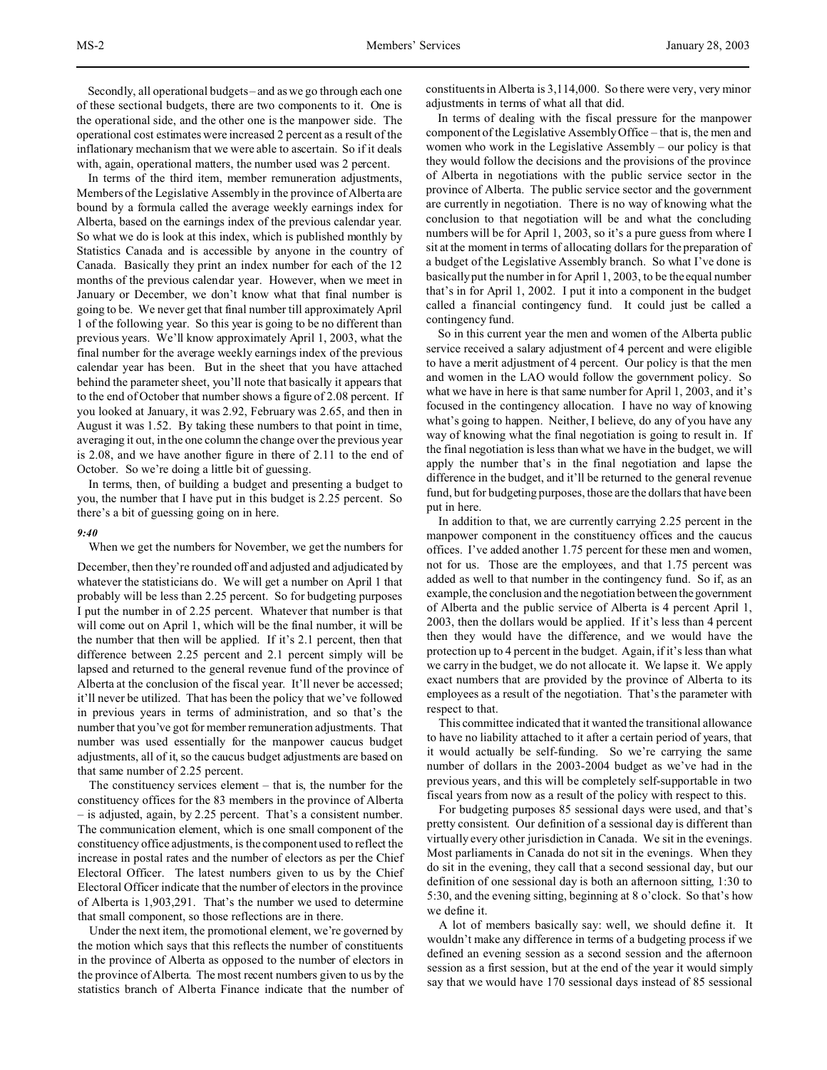Secondly, all operational budgets – and as we go through each one of these sectional budgets, there are two components to it. One is the operational side, and the other one is the manpower side. The operational cost estimates were increased 2 percent as a result of the inflationary mechanism that we were able to ascertain. So if it deals with, again, operational matters, the number used was 2 percent.

In terms of the third item, member remuneration adjustments, Members of the Legislative Assembly in the province of Alberta are bound by a formula called the average weekly earnings index for Alberta, based on the earnings index of the previous calendar year. So what we do is look at this index, which is published monthly by Statistics Canada and is accessible by anyone in the country of Canada. Basically they print an index number for each of the 12 months of the previous calendar year. However, when we meet in January or December, we don't know what that final number is going to be. We never get that final number till approximately April 1 of the following year. So this year is going to be no different than previous years. We'll know approximately April 1, 2003, what the final number for the average weekly earnings index of the previous calendar year has been. But in the sheet that you have attached behind the parameter sheet, you'll note that basically it appears that to the end of October that number shows a figure of 2.08 percent. If you looked at January, it was 2.92, February was 2.65, and then in August it was 1.52. By taking these numbers to that point in time, averaging it out, in the one column the change over the previous year is 2.08, and we have another figure in there of 2.11 to the end of October. So we're doing a little bit of guessing.

In terms, then, of building a budget and presenting a budget to you, the number that I have put in this budget is 2.25 percent. So there's a bit of guessing going on in here.

### *9:40*

When we get the numbers for November, we get the numbers for

December, then they're rounded off and adjusted and adjudicated by whatever the statisticians do. We will get a number on April 1 that probably will be less than 2.25 percent. So for budgeting purposes I put the number in of 2.25 percent. Whatever that number is that will come out on April 1, which will be the final number, it will be the number that then will be applied. If it's 2.1 percent, then that difference between 2.25 percent and 2.1 percent simply will be lapsed and returned to the general revenue fund of the province of Alberta at the conclusion of the fiscal year. It'll never be accessed; it'll never be utilized. That has been the policy that we've followed in previous years in terms of administration, and so that's the number that you've got for member remuneration adjustments. That number was used essentially for the manpower caucus budget adjustments, all of it, so the caucus budget adjustments are based on that same number of 2.25 percent.

The constituency services element – that is, the number for the constituency offices for the 83 members in the province of Alberta – is adjusted, again, by 2.25 percent. That's a consistent number. The communication element, which is one small component of the constituency office adjustments, is the component used to reflect the increase in postal rates and the number of electors as per the Chief Electoral Officer. The latest numbers given to us by the Chief Electoral Officer indicate that the number of electors in the province of Alberta is 1,903,291. That's the number we used to determine that small component, so those reflections are in there.

Under the next item, the promotional element, we're governed by the motion which says that this reflects the number of constituents in the province of Alberta as opposed to the number of electors in the province of Alberta. The most recent numbers given to us by the statistics branch of Alberta Finance indicate that the number of

constituents in Alberta is 3,114,000. So there were very, very minor adjustments in terms of what all that did.

In terms of dealing with the fiscal pressure for the manpower component of the Legislative Assembly Office – that is, the men and women who work in the Legislative Assembly – our policy is that they would follow the decisions and the provisions of the province of Alberta in negotiations with the public service sector in the province of Alberta. The public service sector and the government are currently in negotiation. There is no way of knowing what the conclusion to that negotiation will be and what the concluding numbers will be for April 1, 2003, so it's a pure guess from where I sit at the moment in terms of allocating dollars for the preparation of a budget of the Legislative Assembly branch. So what I've done is basically put the number in for April 1, 2003, to be the equal number that's in for April 1, 2002. I put it into a component in the budget called a financial contingency fund. It could just be called a contingency fund.

So in this current year the men and women of the Alberta public service received a salary adjustment of 4 percent and were eligible to have a merit adjustment of 4 percent. Our policy is that the men and women in the LAO would follow the government policy. So what we have in here is that same number for April 1, 2003, and it's focused in the contingency allocation. I have no way of knowing what's going to happen. Neither, I believe, do any of you have any way of knowing what the final negotiation is going to result in. If the final negotiation is less than what we have in the budget, we will apply the number that's in the final negotiation and lapse the difference in the budget, and it'll be returned to the general revenue fund, but for budgeting purposes, those are the dollars that have been put in here.

In addition to that, we are currently carrying 2.25 percent in the manpower component in the constituency offices and the caucus offices. I've added another 1.75 percent for these men and women, not for us. Those are the employees, and that 1.75 percent was added as well to that number in the contingency fund. So if, as an example, the conclusion and the negotiation between the government of Alberta and the public service of Alberta is 4 percent April 1, 2003, then the dollars would be applied. If it's less than 4 percent then they would have the difference, and we would have the protection up to 4 percent in the budget. Again, if it's less than what we carry in the budget, we do not allocate it. We lapse it. We apply exact numbers that are provided by the province of Alberta to its employees as a result of the negotiation. That's the parameter with respect to that.

This committee indicated that it wanted the transitional allowance to have no liability attached to it after a certain period of years, that it would actually be self-funding. So we're carrying the same number of dollars in the 2003-2004 budget as we've had in the previous years, and this will be completely self-supportable in two fiscal years from now as a result of the policy with respect to this.

For budgeting purposes 85 sessional days were used, and that's pretty consistent. Our definition of a sessional day is different than virtually every other jurisdiction in Canada. We sit in the evenings. Most parliaments in Canada do not sit in the evenings. When they do sit in the evening, they call that a second sessional day, but our definition of one sessional day is both an afternoon sitting, 1:30 to 5:30, and the evening sitting, beginning at 8 o'clock. So that's how we define it.

A lot of members basically say: well, we should define it. It wouldn't make any difference in terms of a budgeting process if we defined an evening session as a second session and the afternoon session as a first session, but at the end of the year it would simply say that we would have 170 sessional days instead of 85 sessional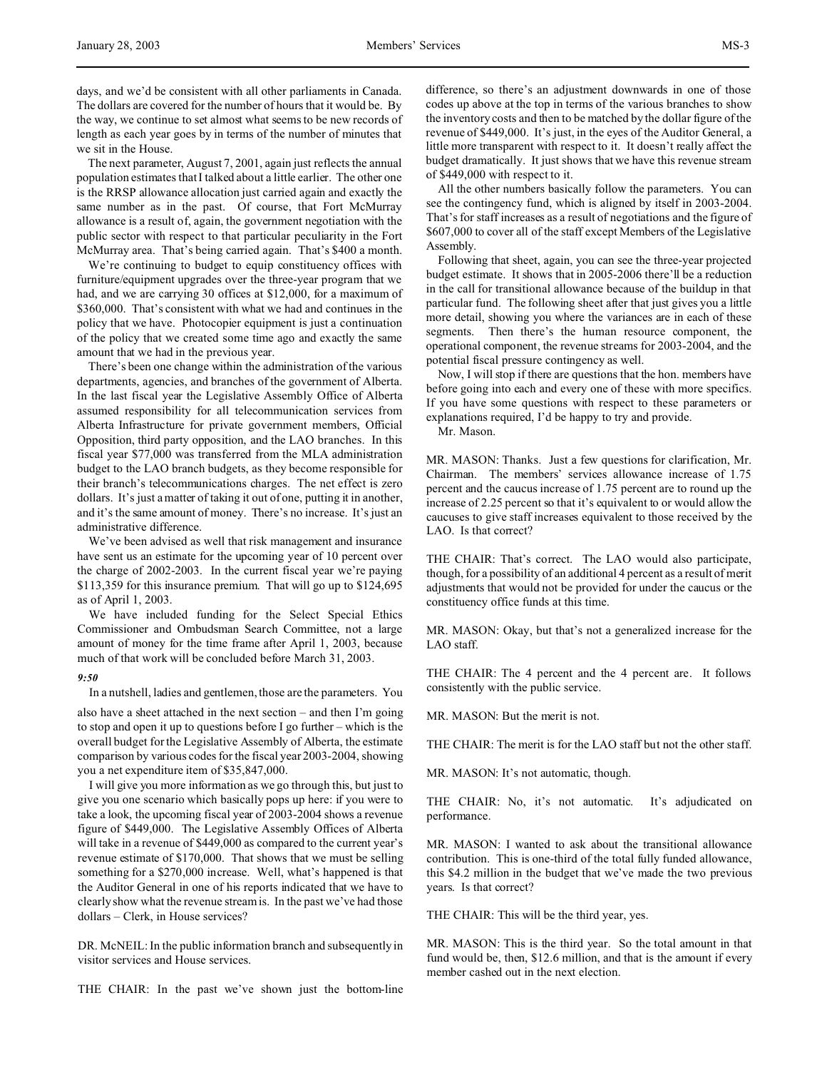days, and we'd be consistent with all other parliaments in Canada. The dollars are covered for the number of hours that it would be. By the way, we continue to set almost what seems to be new records of length as each year goes by in terms of the number of minutes that we sit in the House.

The next parameter, August 7, 2001, again just reflects the annual population estimates that I talked about a little earlier. The other one is the RRSP allowance allocation just carried again and exactly the same number as in the past. Of course, that Fort McMurray allowance is a result of, again, the government negotiation with the public sector with respect to that particular peculiarity in the Fort McMurray area. That's being carried again. That's \$400 a month.

We're continuing to budget to equip constituency offices with furniture/equipment upgrades over the three-year program that we had, and we are carrying 30 offices at \$12,000, for a maximum of \$360,000. That's consistent with what we had and continues in the policy that we have. Photocopier equipment is just a continuation of the policy that we created some time ago and exactly the same amount that we had in the previous year.

There's been one change within the administration of the various departments, agencies, and branches of the government of Alberta. In the last fiscal year the Legislative Assembly Office of Alberta assumed responsibility for all telecommunication services from Alberta Infrastructure for private government members, Official Opposition, third party opposition, and the LAO branches. In this fiscal year \$77,000 was transferred from the MLA administration budget to the LAO branch budgets, as they become responsible for their branch's telecommunications charges. The net effect is zero dollars. It's just a matter of taking it out of one, putting it in another, and it's the same amount of money. There's no increase. It's just an administrative difference.

We've been advised as well that risk management and insurance have sent us an estimate for the upcoming year of 10 percent over the charge of 2002-2003. In the current fiscal year we're paying \$113,359 for this insurance premium. That will go up to \$124,695 as of April 1, 2003.

We have included funding for the Select Special Ethics Commissioner and Ombudsman Search Committee, not a large amount of money for the time frame after April 1, 2003, because much of that work will be concluded before March 31, 2003.

### *9:50*

In a nutshell, ladies and gentlemen, those are the parameters. You

also have a sheet attached in the next section – and then I'm going to stop and open it up to questions before I go further – which is the overall budget for the Legislative Assembly of Alberta, the estimate comparison by various codes for the fiscal year 2003-2004, showing you a net expenditure item of \$35,847,000.

I will give you more information as we go through this, but just to give you one scenario which basically pops up here: if you were to take a look, the upcoming fiscal year of 2003-2004 shows a revenue figure of \$449,000. The Legislative Assembly Offices of Alberta will take in a revenue of \$449,000 as compared to the current year's revenue estimate of \$170,000. That shows that we must be selling something for a \$270,000 increase. Well, what's happened is that the Auditor General in one of his reports indicated that we have to clearly show what the revenue stream is. In the past we've had those dollars – Clerk, in House services?

DR. McNEIL: In the public information branch and subsequently in visitor services and House services.

THE CHAIR: In the past we've shown just the bottom-line

difference, so there's an adjustment downwards in one of those codes up above at the top in terms of the various branches to show the inventory costs and then to be matched by the dollar figure of the revenue of \$449,000. It's just, in the eyes of the Auditor General, a little more transparent with respect to it. It doesn't really affect the budget dramatically. It just shows that we have this revenue stream of \$449,000 with respect to it.

All the other numbers basically follow the parameters. You can see the contingency fund, which is aligned by itself in 2003-2004. That's for staff increases as a result of negotiations and the figure of \$607,000 to cover all of the staff except Members of the Legislative Assembly.

Following that sheet, again, you can see the three-year projected budget estimate. It shows that in 2005-2006 there'll be a reduction in the call for transitional allowance because of the buildup in that particular fund. The following sheet after that just gives you a little more detail, showing you where the variances are in each of these segments. Then there's the human resource component, the operational component, the revenue streams for 2003-2004, and the potential fiscal pressure contingency as well.

Now, I will stop if there are questions that the hon. members have before going into each and every one of these with more specifics. If you have some questions with respect to these parameters or explanations required, I'd be happy to try and provide.

Mr. Mason.

MR. MASON: Thanks. Just a few questions for clarification, Mr. Chairman. The members' services allowance increase of 1.75 percent and the caucus increase of 1.75 percent are to round up the increase of 2.25 percent so that it's equivalent to or would allow the caucuses to give staff increases equivalent to those received by the LAO. Is that correct?

THE CHAIR: That's correct. The LAO would also participate, though, for a possibility of an additional 4 percent as a result of merit adjustments that would not be provided for under the caucus or the constituency office funds at this time.

MR. MASON: Okay, but that's not a generalized increase for the LAO staff.

THE CHAIR: The 4 percent and the 4 percent are. It follows consistently with the public service.

MR. MASON: But the merit is not.

THE CHAIR: The merit is for the LAO staff but not the other staff.

MR. MASON: It's not automatic, though.

THE CHAIR: No, it's not automatic. It's adjudicated on performance.

MR. MASON: I wanted to ask about the transitional allowance contribution. This is one-third of the total fully funded allowance, this \$4.2 million in the budget that we've made the two previous years. Is that correct?

THE CHAIR: This will be the third year, yes.

MR. MASON: This is the third year. So the total amount in that fund would be, then, \$12.6 million, and that is the amount if every member cashed out in the next election.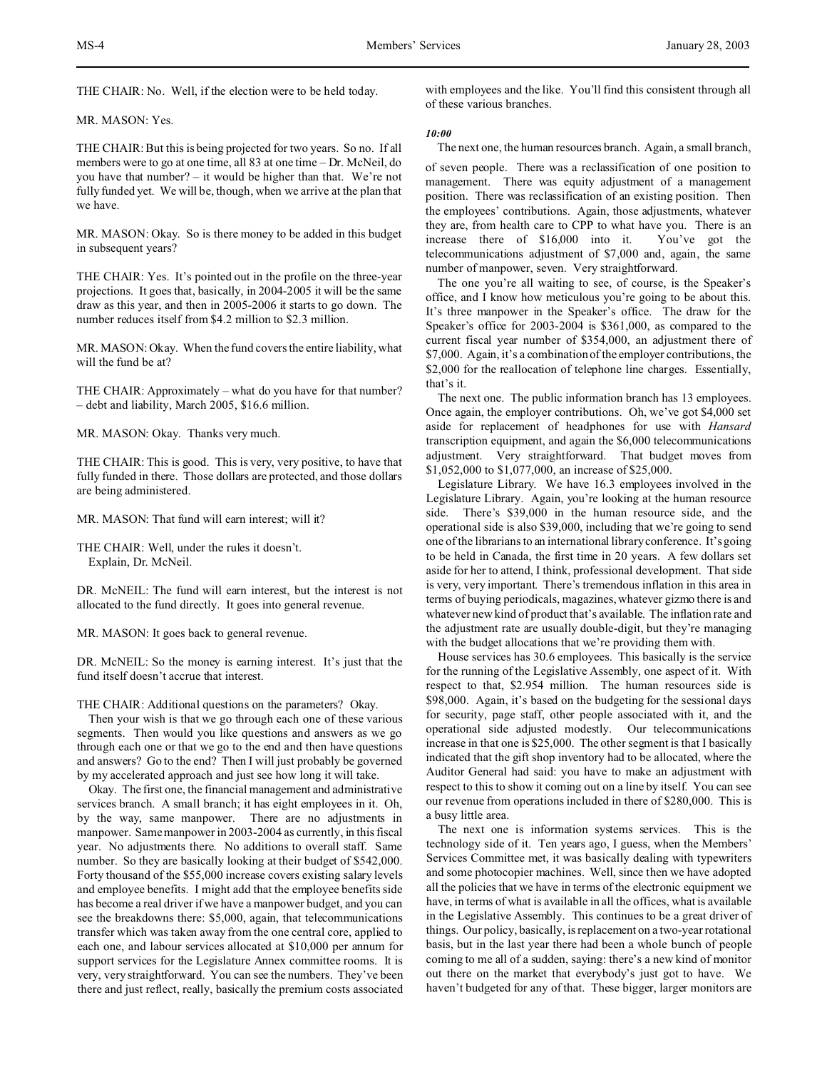THE CHAIR: No. Well, if the election were to be held today.

MR. MASON: Yes.

THE CHAIR: But this is being projected for two years. So no. If all members were to go at one time, all 83 at one time – Dr. McNeil, do you have that number? – it would be higher than that. We're not fully funded yet. We will be, though, when we arrive at the plan that we have.

MR. MASON: Okay. So is there money to be added in this budget in subsequent years?

THE CHAIR: Yes. It's pointed out in the profile on the three-year projections. It goes that, basically, in 2004-2005 it will be the same draw as this year, and then in 2005-2006 it starts to go down. The number reduces itself from \$4.2 million to \$2.3 million.

MR. MASON: Okay. When the fund covers the entire liability, what will the fund be at?

THE CHAIR: Approximately – what do you have for that number? – debt and liability, March 2005, \$16.6 million.

MR. MASON: Okay. Thanks very much.

THE CHAIR: This is good. This is very, very positive, to have that fully funded in there. Those dollars are protected, and those dollars are being administered.

MR. MASON: That fund will earn interest; will it?

THE CHAIR: Well, under the rules it doesn't. Explain, Dr. McNeil.

DR. McNEIL: The fund will earn interest, but the interest is not allocated to the fund directly. It goes into general revenue.

MR. MASON: It goes back to general revenue.

DR. McNEIL: So the money is earning interest. It's just that the fund itself doesn't accrue that interest.

THE CHAIR: Additional questions on the parameters? Okay.

Then your wish is that we go through each one of these various segments. Then would you like questions and answers as we go through each one or that we go to the end and then have questions and answers? Go to the end? Then I will just probably be governed by my accelerated approach and just see how long it will take.

Okay. The first one, the financial management and administrative services branch. A small branch; it has eight employees in it. Oh, by the way, same manpower. There are no adjustments in manpower. Same manpower in 2003-2004 as currently, in this fiscal year. No adjustments there. No additions to overall staff. Same number. So they are basically looking at their budget of \$542,000. Forty thousand of the \$55,000 increase covers existing salary levels and employee benefits. I might add that the employee benefits side has become a real driver if we have a manpower budget, and you can see the breakdowns there: \$5,000, again, that telecommunications transfer which was taken away from the one central core, applied to each one, and labour services allocated at \$10,000 per annum for support services for the Legislature Annex committee rooms. It is very, very straightforward. You can see the numbers. They've been there and just reflect, really, basically the premium costs associated

with employees and the like. You'll find this consistent through all of these various branches.

*10:00*

The next one, the human resources branch. Again, a small branch,

of seven people. There was a reclassification of one position to management. There was equity adjustment of a management position. There was reclassification of an existing position. Then the employees' contributions. Again, those adjustments, whatever they are, from health care to CPP to what have you. There is an increase there of \$16,000 into it. You've got the telecommunications adjustment of \$7,000 and, again, the same number of manpower, seven. Very straightforward.

The one you're all waiting to see, of course, is the Speaker's office, and I know how meticulous you're going to be about this. It's three manpower in the Speaker's office. The draw for the Speaker's office for 2003-2004 is \$361,000, as compared to the current fiscal year number of \$354,000, an adjustment there of \$7,000. Again, it's a combination of the employer contributions, the \$2,000 for the reallocation of telephone line charges. Essentially, that's it.

The next one. The public information branch has 13 employees. Once again, the employer contributions. Oh, we've got \$4,000 set aside for replacement of headphones for use with *Hansard* transcription equipment, and again the \$6,000 telecommunications adjustment. Very straightforward. That budget moves from \$1,052,000 to \$1,077,000, an increase of \$25,000.

Legislature Library. We have 16.3 employees involved in the Legislature Library. Again, you're looking at the human resource side. There's \$39,000 in the human resource side, and the operational side is also \$39,000, including that we're going to send one of the librarians to an international library conference. It's going to be held in Canada, the first time in 20 years. A few dollars set aside for her to attend, I think, professional development. That side is very, very important. There's tremendous inflation in this area in terms of buying periodicals, magazines, whatever gizmo there is and whatever new kind of product that's available. The inflation rate and the adjustment rate are usually double-digit, but they're managing with the budget allocations that we're providing them with.

House services has 30.6 employees. This basically is the service for the running of the Legislative Assembly, one aspect of it. With respect to that, \$2.954 million. The human resources side is \$98,000. Again, it's based on the budgeting for the sessional days for security, page staff, other people associated with it, and the operational side adjusted modestly. Our telecommunications increase in that one is \$25,000. The other segment is that I basically indicated that the gift shop inventory had to be allocated, where the Auditor General had said: you have to make an adjustment with respect to this to show it coming out on a line by itself. You can see our revenue from operations included in there of \$280,000. This is a busy little area.

The next one is information systems services. This is the technology side of it. Ten years ago, I guess, when the Members' Services Committee met, it was basically dealing with typewriters and some photocopier machines. Well, since then we have adopted all the policies that we have in terms of the electronic equipment we have, in terms of what is available in all the offices, what is available in the Legislative Assembly. This continues to be a great driver of things. Our policy, basically, is replacement on a two-year rotational basis, but in the last year there had been a whole bunch of people coming to me all of a sudden, saying: there's a new kind of monitor out there on the market that everybody's just got to have. We haven't budgeted for any of that. These bigger, larger monitors are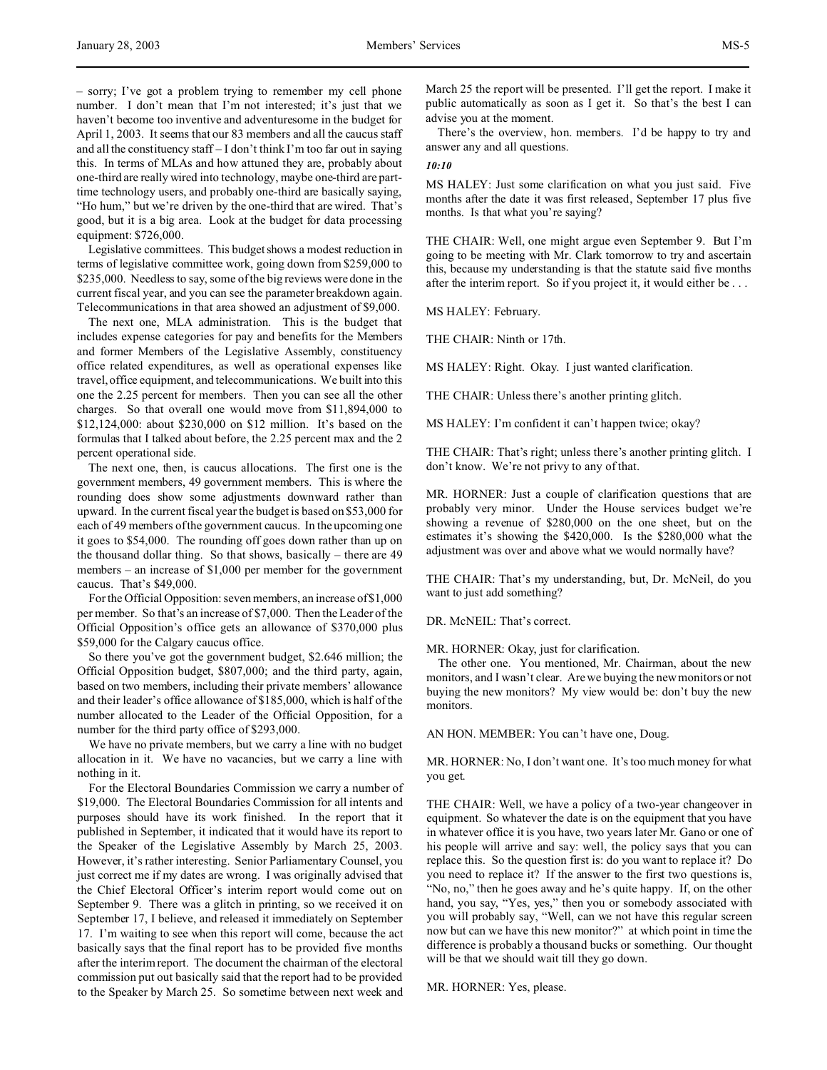– sorry; I've got a problem trying to remember my cell phone number. I don't mean that I'm not interested; it's just that we haven't become too inventive and adventuresome in the budget for April 1, 2003. It seems that our 83 members and all the caucus staff and all the constituency staff – I don't think I'm too far out in saying this. In terms of MLAs and how attuned they are, probably about one-third are really wired into technology, maybe one-third are parttime technology users, and probably one-third are basically saying, "Ho hum," but we're driven by the one-third that are wired. That's good, but it is a big area. Look at the budget for data processing equipment: \$726,000.

Legislative committees. This budget shows a modest reduction in terms of legislative committee work, going down from \$259,000 to \$235,000. Needless to say, some of the big reviews were done in the current fiscal year, and you can see the parameter breakdown again. Telecommunications in that area showed an adjustment of \$9,000.

The next one, MLA administration. This is the budget that includes expense categories for pay and benefits for the Members and former Members of the Legislative Assembly, constituency office related expenditures, as well as operational expenses like travel, office equipment, and telecommunications. We built into this one the 2.25 percent for members. Then you can see all the other charges. So that overall one would move from \$11,894,000 to \$12,124,000: about \$230,000 on \$12 million. It's based on the formulas that I talked about before, the 2.25 percent max and the 2 percent operational side.

The next one, then, is caucus allocations. The first one is the government members, 49 government members. This is where the rounding does show some adjustments downward rather than upward. In the current fiscal year the budget is based on \$53,000 for each of 49 members of the government caucus. In the upcoming one it goes to \$54,000. The rounding off goes down rather than up on the thousand dollar thing. So that shows, basically – there are 49 members – an increase of \$1,000 per member for the government caucus. That's \$49,000.

For the Official Opposition: seven members, an increase of \$1,000 per member. So that's an increase of \$7,000. Then the Leader of the Official Opposition's office gets an allowance of \$370,000 plus \$59,000 for the Calgary caucus office.

So there you've got the government budget, \$2.646 million; the Official Opposition budget, \$807,000; and the third party, again, based on two members, including their private members' allowance and their leader's office allowance of \$185,000, which is half of the number allocated to the Leader of the Official Opposition, for a number for the third party office of \$293,000.

We have no private members, but we carry a line with no budget allocation in it. We have no vacancies, but we carry a line with nothing in it.

For the Electoral Boundaries Commission we carry a number of \$19,000. The Electoral Boundaries Commission for all intents and purposes should have its work finished. In the report that it published in September, it indicated that it would have its report to the Speaker of the Legislative Assembly by March 25, 2003. However, it's rather interesting. Senior Parliamentary Counsel, you just correct me if my dates are wrong. I was originally advised that the Chief Electoral Officer's interim report would come out on September 9. There was a glitch in printing, so we received it on September 17, I believe, and released it immediately on September 17. I'm waiting to see when this report will come, because the act basically says that the final report has to be provided five months after the interim report. The document the chairman of the electoral commission put out basically said that the report had to be provided to the Speaker by March 25. So sometime between next week and March 25 the report will be presented. I'll get the report. I make it public automatically as soon as I get it. So that's the best I can advise you at the moment.

There's the overview, hon. members. I'd be happy to try and answer any and all questions.

#### *10:10*

MS HALEY: Just some clarification on what you just said. Five months after the date it was first released, September 17 plus five months. Is that what you're saying?

THE CHAIR: Well, one might argue even September 9. But I'm going to be meeting with Mr. Clark tomorrow to try and ascertain this, because my understanding is that the statute said five months after the interim report. So if you project it, it would either be . . .

MS HALEY: February.

THE CHAIR: Ninth or 17th.

MS HALEY: Right. Okay. I just wanted clarification.

THE CHAIR: Unless there's another printing glitch.

MS HALEY: I'm confident it can't happen twice; okay?

THE CHAIR: That's right; unless there's another printing glitch. I don't know. We're not privy to any of that.

MR. HORNER: Just a couple of clarification questions that are probably very minor. Under the House services budget we're showing a revenue of \$280,000 on the one sheet, but on the estimates it's showing the \$420,000. Is the \$280,000 what the adjustment was over and above what we would normally have?

THE CHAIR: That's my understanding, but, Dr. McNeil, do you want to just add something?

DR. McNEIL: That's correct.

MR. HORNER: Okay, just for clarification.

The other one. You mentioned, Mr. Chairman, about the new monitors, and I wasn't clear. Are we buying the new monitors or not buying the new monitors? My view would be: don't buy the new monitors.

AN HON. MEMBER: You can't have one, Doug.

MR. HORNER: No, I don't want one. It's too much money for what you get.

THE CHAIR: Well, we have a policy of a two-year changeover in equipment. So whatever the date is on the equipment that you have in whatever office it is you have, two years later Mr. Gano or one of his people will arrive and say: well, the policy says that you can replace this. So the question first is: do you want to replace it? Do you need to replace it? If the answer to the first two questions is, "No, no," then he goes away and he's quite happy. If, on the other hand, you say, "Yes, yes," then you or somebody associated with you will probably say, "Well, can we not have this regular screen now but can we have this new monitor?" at which point in time the difference is probably a thousand bucks or something. Our thought will be that we should wait till they go down.

MR. HORNER: Yes, please.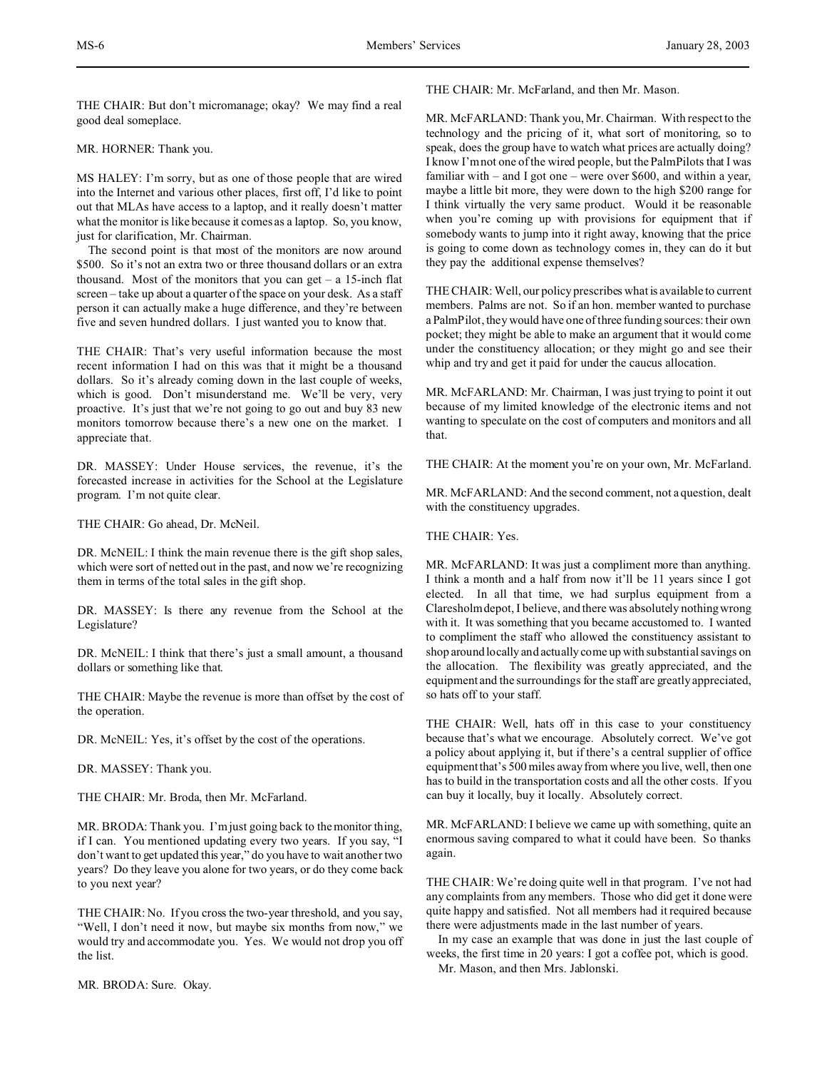THE CHAIR: But don't micromanage; okay? We may find a real good deal someplace.

MR. HORNER: Thank you.

MS HALEY: I'm sorry, but as one of those people that are wired into the Internet and various other places, first off, I'd like to point out that MLAs have access to a laptop, and it really doesn't matter what the monitor is like because it comes as a laptop. So, you know, just for clarification, Mr. Chairman.

The second point is that most of the monitors are now around \$500. So it's not an extra two or three thousand dollars or an extra thousand. Most of the monitors that you can get  $-$  a 15-inch flat screen – take up about a quarter of the space on your desk. As a staff person it can actually make a huge difference, and they're between five and seven hundred dollars. I just wanted you to know that.

THE CHAIR: That's very useful information because the most recent information I had on this was that it might be a thousand dollars. So it's already coming down in the last couple of weeks, which is good. Don't misunderstand me. We'll be very, very proactive. It's just that we're not going to go out and buy 83 new monitors tomorrow because there's a new one on the market. I appreciate that.

DR. MASSEY: Under House services, the revenue, it's the forecasted increase in activities for the School at the Legislature program. I'm not quite clear.

THE CHAIR: Go ahead, Dr. McNeil.

DR. McNEIL: I think the main revenue there is the gift shop sales, which were sort of netted out in the past, and now we're recognizing them in terms of the total sales in the gift shop.

DR. MASSEY: Is there any revenue from the School at the Legislature?

DR. McNEIL: I think that there's just a small amount, a thousand dollars or something like that.

THE CHAIR: Maybe the revenue is more than offset by the cost of the operation.

DR. McNEIL: Yes, it's offset by the cost of the operations.

DR. MASSEY: Thank you.

THE CHAIR: Mr. Broda, then Mr. McFarland.

MR. BRODA: Thank you. I'm just going back to the monitor thing, if I can. You mentioned updating every two years. If you say, "I don't want to get updated this year," do you have to wait another two years? Do they leave you alone for two years, or do they come back to you next year?

THE CHAIR: No. If you cross the two-year threshold, and you say, "Well, I don't need it now, but maybe six months from now," we would try and accommodate you. Yes. We would not drop you off the list.

MR. BRODA: Sure. Okay.

THE CHAIR: Mr. McFarland, and then Mr. Mason.

MR. McFARLAND: Thank you, Mr. Chairman. With respect to the technology and the pricing of it, what sort of monitoring, so to speak, does the group have to watch what prices are actually doing? I know I'm not one of the wired people, but the PalmPilots that I was familiar with – and I got one – were over \$600, and within a year, maybe a little bit more, they were down to the high \$200 range for I think virtually the very same product. Would it be reasonable when you're coming up with provisions for equipment that if somebody wants to jump into it right away, knowing that the price is going to come down as technology comes in, they can do it but they pay the additional expense themselves?

THE CHAIR: Well, our policy prescribes what is available to current members. Palms are not. So if an hon. member wanted to purchase a PalmPilot, they would have one of three funding sources: their own pocket; they might be able to make an argument that it would come under the constituency allocation; or they might go and see their whip and try and get it paid for under the caucus allocation.

MR. McFARLAND: Mr. Chairman, I was just trying to point it out because of my limited knowledge of the electronic items and not wanting to speculate on the cost of computers and monitors and all that.

THE CHAIR: At the moment you're on your own, Mr. McFarland.

MR. McFARLAND: And the second comment, not a question, dealt with the constituency upgrades.

THE CHAIR: Yes.

MR. McFARLAND: It was just a compliment more than anything. I think a month and a half from now it'll be 11 years since I got elected. In all that time, we had surplus equipment from a Claresholm depot, I believe, and there was absolutely nothing wrong with it. It was something that you became accustomed to. I wanted to compliment the staff who allowed the constituency assistant to shop around locally and actually come up with substantial savings on the allocation. The flexibility was greatly appreciated, and the equipment and the surroundings for the staff are greatly appreciated, so hats off to your staff.

THE CHAIR: Well, hats off in this case to your constituency because that's what we encourage. Absolutely correct. We've got a policy about applying it, but if there's a central supplier of office equipment that's 500 miles away from where you live, well, then one has to build in the transportation costs and all the other costs. If you can buy it locally, buy it locally. Absolutely correct.

MR. McFARLAND: I believe we came up with something, quite an enormous saving compared to what it could have been. So thanks again.

THE CHAIR: We're doing quite well in that program. I've not had any complaints from any members. Those who did get it done were quite happy and satisfied. Not all members had it required because there were adjustments made in the last number of years.

In my case an example that was done in just the last couple of weeks, the first time in 20 years: I got a coffee pot, which is good. Mr. Mason, and then Mrs. Jablonski.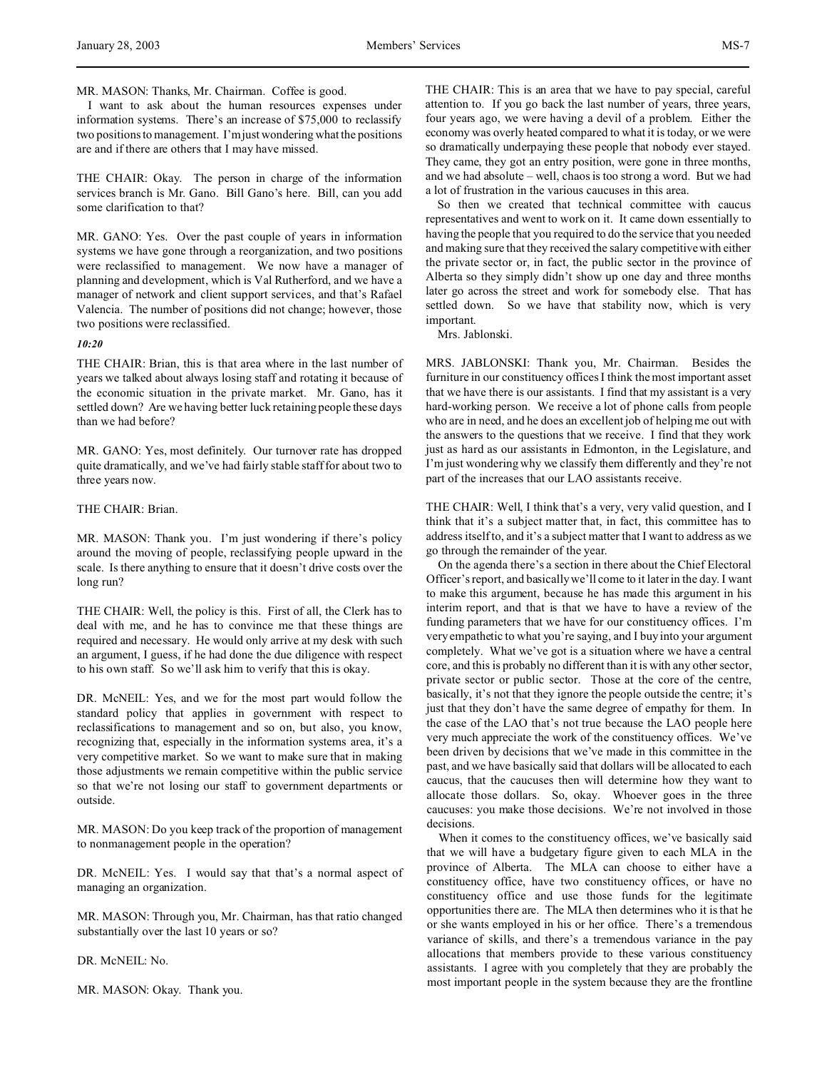MR. MASON: Thanks, Mr. Chairman. Coffee is good.

I want to ask about the human resources expenses under information systems. There's an increase of \$75,000 to reclassify two positions to management. I'm just wondering what the positions are and if there are others that I may have missed.

THE CHAIR: Okay. The person in charge of the information services branch is Mr. Gano. Bill Gano's here. Bill, can you add some clarification to that?

MR. GANO: Yes. Over the past couple of years in information systems we have gone through a reorganization, and two positions were reclassified to management. We now have a manager of planning and development, which is Val Rutherford, and we have a manager of network and client support services, and that's Rafael Valencia. The number of positions did not change; however, those two positions were reclassified.

## *10:20*

THE CHAIR: Brian, this is that area where in the last number of years we talked about always losing staff and rotating it because of the economic situation in the private market. Mr. Gano, has it settled down? Are we having better luck retaining people these days than we had before?

MR. GANO: Yes, most definitely. Our turnover rate has dropped quite dramatically, and we've had fairly stable staff for about two to three years now.

## THE CHAIR: Brian.

MR. MASON: Thank you. I'm just wondering if there's policy around the moving of people, reclassifying people upward in the scale. Is there anything to ensure that it doesn't drive costs over the long run?

THE CHAIR: Well, the policy is this. First of all, the Clerk has to deal with me, and he has to convince me that these things are required and necessary. He would only arrive at my desk with such an argument, I guess, if he had done the due diligence with respect to his own staff. So we'll ask him to verify that this is okay.

DR. McNEIL: Yes, and we for the most part would follow the standard policy that applies in government with respect to reclassifications to management and so on, but also, you know, recognizing that, especially in the information systems area, it's a very competitive market. So we want to make sure that in making those adjustments we remain competitive within the public service so that we're not losing our staff to government departments or outside.

MR. MASON: Do you keep track of the proportion of management to nonmanagement people in the operation?

DR. McNEIL: Yes. I would say that that's a normal aspect of managing an organization.

MR. MASON: Through you, Mr. Chairman, has that ratio changed substantially over the last 10 years or so?

DR. McNEIL: No.

MR. MASON: Okay. Thank you.

THE CHAIR: This is an area that we have to pay special, careful attention to. If you go back the last number of years, three years, four years ago, we were having a devil of a problem. Either the economy was overly heated compared to what it is today, or we were so dramatically underpaying these people that nobody ever stayed. They came, they got an entry position, were gone in three months, and we had absolute – well, chaos is too strong a word. But we had a lot of frustration in the various caucuses in this area.

So then we created that technical committee with caucus representatives and went to work on it. It came down essentially to having the people that you required to do the service that you needed and making sure that they received the salary competitive with either the private sector or, in fact, the public sector in the province of Alberta so they simply didn't show up one day and three months later go across the street and work for somebody else. That has settled down. So we have that stability now, which is very important.

Mrs. Jablonski.

MRS. JABLONSKI: Thank you, Mr. Chairman. Besides the furniture in our constituency offices I think the most important asset that we have there is our assistants. I find that my assistant is a very hard-working person. We receive a lot of phone calls from people who are in need, and he does an excellent job of helping me out with the answers to the questions that we receive. I find that they work just as hard as our assistants in Edmonton, in the Legislature, and I'm just wondering why we classify them differently and they're not part of the increases that our LAO assistants receive.

THE CHAIR: Well, I think that's a very, very valid question, and I think that it's a subject matter that, in fact, this committee has to address itself to, and it's a subject matter that I want to address as we go through the remainder of the year.

On the agenda there's a section in there about the Chief Electoral Officer's report, and basically we'll come to it later in the day. I want to make this argument, because he has made this argument in his interim report, and that is that we have to have a review of the funding parameters that we have for our constituency offices. I'm very empathetic to what you're saying, and I buy into your argument completely. What we've got is a situation where we have a central core, and this is probably no different than it is with any other sector, private sector or public sector. Those at the core of the centre, basically, it's not that they ignore the people outside the centre; it's just that they don't have the same degree of empathy for them. In the case of the LAO that's not true because the LAO people here very much appreciate the work of the constituency offices. We've been driven by decisions that we've made in this committee in the past, and we have basically said that dollars will be allocated to each caucus, that the caucuses then will determine how they want to allocate those dollars. So, okay. Whoever goes in the three caucuses: you make those decisions. We're not involved in those decisions.

When it comes to the constituency offices, we've basically said that we will have a budgetary figure given to each MLA in the province of Alberta. The MLA can choose to either have a constituency office, have two constituency offices, or have no constituency office and use those funds for the legitimate opportunities there are. The MLA then determines who it is that he or she wants employed in his or her office. There's a tremendous variance of skills, and there's a tremendous variance in the pay allocations that members provide to these various constituency assistants. I agree with you completely that they are probably the most important people in the system because they are the frontline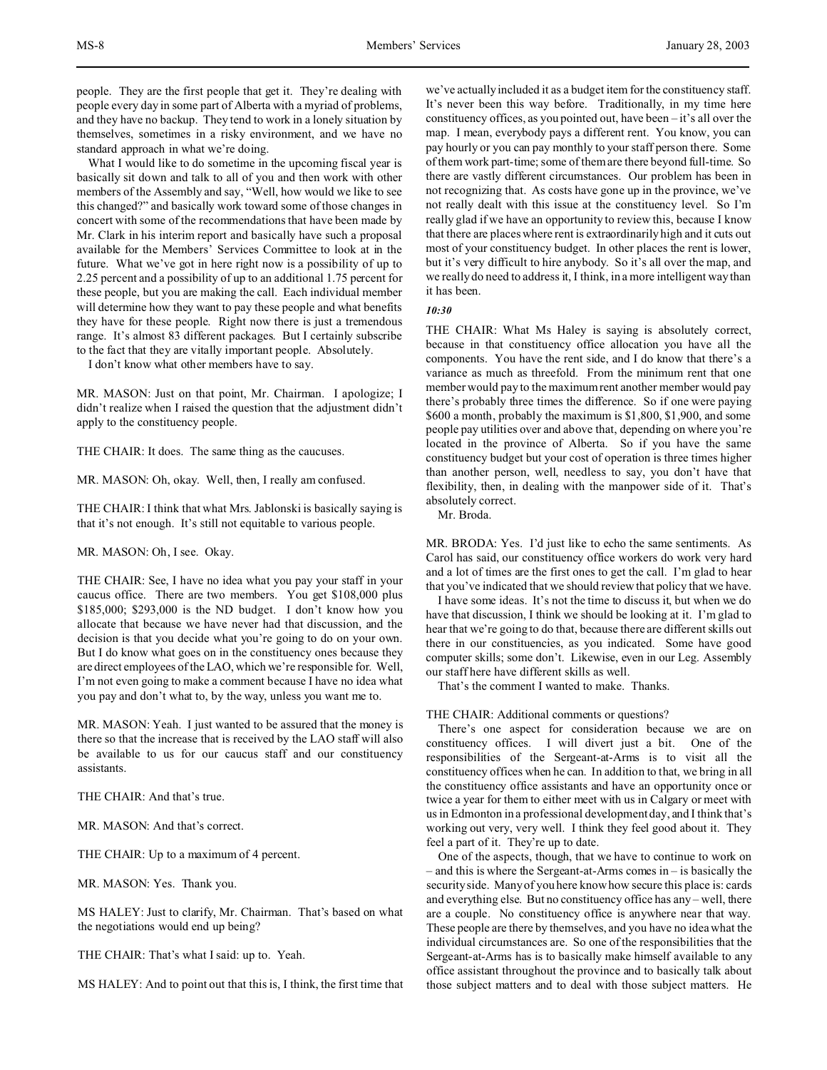people. They are the first people that get it. They're dealing with people every day in some part of Alberta with a myriad of problems, and they have no backup. They tend to work in a lonely situation by themselves, sometimes in a risky environment, and we have no standard approach in what we're doing.

What I would like to do sometime in the upcoming fiscal year is basically sit down and talk to all of you and then work with other members of the Assembly and say, "Well, how would we like to see this changed?" and basically work toward some of those changes in concert with some of the recommendations that have been made by Mr. Clark in his interim report and basically have such a proposal available for the Members' Services Committee to look at in the future. What we've got in here right now is a possibility of up to 2.25 percent and a possibility of up to an additional 1.75 percent for these people, but you are making the call. Each individual member will determine how they want to pay these people and what benefits they have for these people. Right now there is just a tremendous range. It's almost 83 different packages. But I certainly subscribe to the fact that they are vitally important people. Absolutely.

I don't know what other members have to say.

MR. MASON: Just on that point, Mr. Chairman. I apologize; I didn't realize when I raised the question that the adjustment didn't apply to the constituency people.

THE CHAIR: It does. The same thing as the caucuses.

MR. MASON: Oh, okay. Well, then, I really am confused.

THE CHAIR: I think that what Mrs. Jablonski is basically saying is that it's not enough. It's still not equitable to various people.

MR. MASON: Oh, I see. Okay.

THE CHAIR: See, I have no idea what you pay your staff in your caucus office. There are two members. You get \$108,000 plus \$185,000; \$293,000 is the ND budget. I don't know how you allocate that because we have never had that discussion, and the decision is that you decide what you're going to do on your own. But I do know what goes on in the constituency ones because they are direct employees of the LAO, which we're responsible for. Well, I'm not even going to make a comment because I have no idea what you pay and don't what to, by the way, unless you want me to.

MR. MASON: Yeah. I just wanted to be assured that the money is there so that the increase that is received by the LAO staff will also be available to us for our caucus staff and our constituency assistants.

THE CHAIR: And that's true.

MR. MASON: And that's correct.

THE CHAIR: Up to a maximum of 4 percent.

MR. MASON: Yes. Thank you.

MS HALEY: Just to clarify, Mr. Chairman. That's based on what the negotiations would end up being?

THE CHAIR: That's what I said: up to. Yeah.

MS HALEY: And to point out that this is, I think, the first time that

we've actually included it as a budget item for the constituency staff. It's never been this way before. Traditionally, in my time here constituency offices, as you pointed out, have been – it's all over the map. I mean, everybody pays a different rent. You know, you can pay hourly or you can pay monthly to your staff person there. Some of them work part-time; some of them are there beyond full-time. So there are vastly different circumstances. Our problem has been in not recognizing that. As costs have gone up in the province, we've not really dealt with this issue at the constituency level. So I'm really glad if we have an opportunity to review this, because I know that there are places where rent is extraordinarily high and it cuts out most of your constituency budget. In other places the rent is lower, but it's very difficult to hire anybody. So it's all over the map, and we really do need to address it, I think, in a more intelligent way than it has been.

*10:30*

THE CHAIR: What Ms Haley is saying is absolutely correct, because in that constituency office allocation you have all the components. You have the rent side, and I do know that there's a variance as much as threefold. From the minimum rent that one member would pay to the maximum rent another member would pay there's probably three times the difference. So if one were paying \$600 a month, probably the maximum is \$1,800, \$1,900, and some people pay utilities over and above that, depending on where you're located in the province of Alberta. So if you have the same constituency budget but your cost of operation is three times higher than another person, well, needless to say, you don't have that flexibility, then, in dealing with the manpower side of it. That's absolutely correct.

Mr. Broda.

MR. BRODA: Yes. I'd just like to echo the same sentiments. As Carol has said, our constituency office workers do work very hard and a lot of times are the first ones to get the call. I'm glad to hear that you've indicated that we should review that policy that we have.

I have some ideas. It's not the time to discuss it, but when we do have that discussion, I think we should be looking at it. I'm glad to hear that we're going to do that, because there are different skills out there in our constituencies, as you indicated. Some have good computer skills; some don't. Likewise, even in our Leg. Assembly our staff here have different skills as well.

That's the comment I wanted to make. Thanks.

## THE CHAIR: Additional comments or questions?

There's one aspect for consideration because we are on constituency offices. I will divert just a bit. One of the responsibilities of the Sergeant-at-Arms is to visit all the constituency offices when he can. In addition to that, we bring in all the constituency office assistants and have an opportunity once or twice a year for them to either meet with us in Calgary or meet with us in Edmonton in a professional development day, and I think that's working out very, very well. I think they feel good about it. They feel a part of it. They're up to date.

One of the aspects, though, that we have to continue to work on – and this is where the Sergeant-at-Arms comes in – is basically the security side. Many of you here know how secure this place is: cards and everything else. But no constituency office has any – well, there are a couple. No constituency office is anywhere near that way. These people are there by themselves, and you have no idea what the individual circumstances are. So one of the responsibilities that the Sergeant-at-Arms has is to basically make himself available to any office assistant throughout the province and to basically talk about those subject matters and to deal with those subject matters. He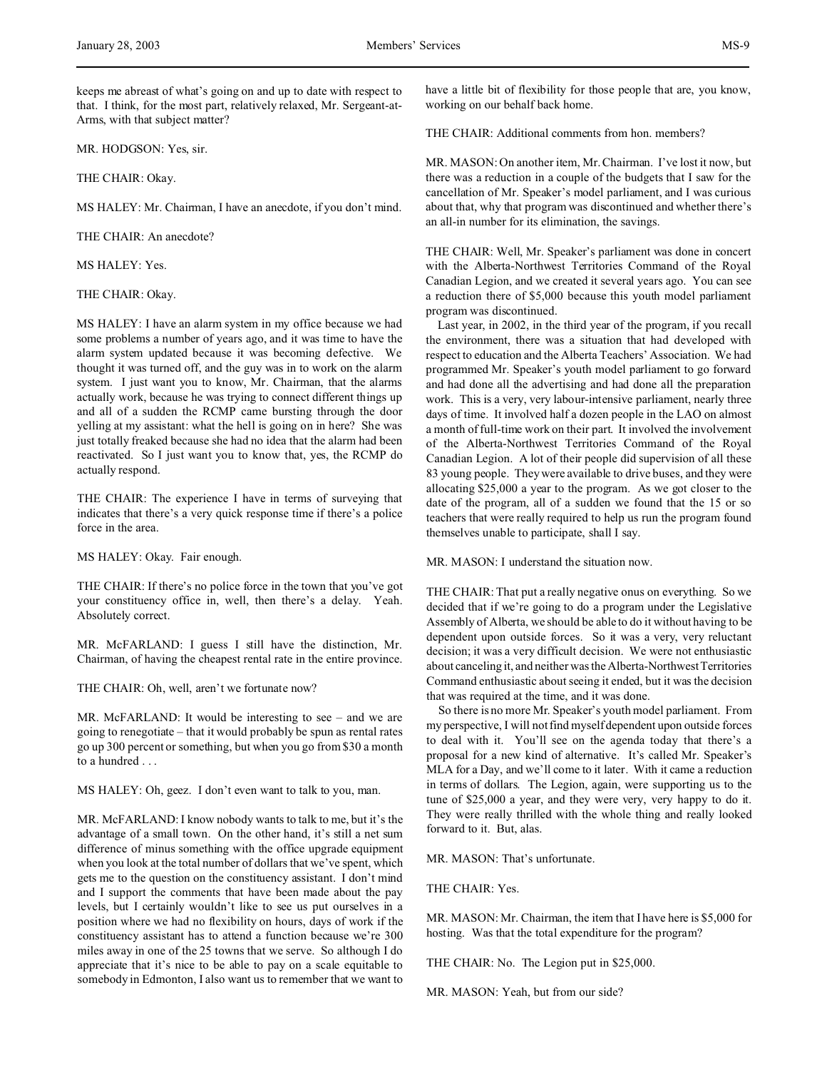MR. HODGSON: Yes, sir.

THE CHAIR: Okay.

MS HALEY: Mr. Chairman, I have an anecdote, if you don't mind.

THE CHAIR: An anecdote?

MS HALEY: Yes.

THE CHAIR: Okay.

MS HALEY: I have an alarm system in my office because we had some problems a number of years ago, and it was time to have the alarm system updated because it was becoming defective. We thought it was turned off, and the guy was in to work on the alarm system. I just want you to know, Mr. Chairman, that the alarms actually work, because he was trying to connect different things up and all of a sudden the RCMP came bursting through the door yelling at my assistant: what the hell is going on in here? She was just totally freaked because she had no idea that the alarm had been reactivated. So I just want you to know that, yes, the RCMP do actually respond.

THE CHAIR: The experience I have in terms of surveying that indicates that there's a very quick response time if there's a police force in the area.

MS HALEY: Okay. Fair enough.

THE CHAIR: If there's no police force in the town that you've got your constituency office in, well, then there's a delay. Yeah. Absolutely correct.

MR. McFARLAND: I guess I still have the distinction, Mr. Chairman, of having the cheapest rental rate in the entire province.

THE CHAIR: Oh, well, aren't we fortunate now?

MR. McFARLAND: It would be interesting to see – and we are going to renegotiate – that it would probably be spun as rental rates go up 300 percent or something, but when you go from \$30 a month to a hundred . . .

MS HALEY: Oh, geez. I don't even want to talk to you, man.

MR. McFARLAND: I know nobody wants to talk to me, but it's the advantage of a small town. On the other hand, it's still a net sum difference of minus something with the office upgrade equipment when you look at the total number of dollars that we've spent, which gets me to the question on the constituency assistant. I don't mind and I support the comments that have been made about the pay levels, but I certainly wouldn't like to see us put ourselves in a position where we had no flexibility on hours, days of work if the constituency assistant has to attend a function because we're 300 miles away in one of the 25 towns that we serve. So although I do appreciate that it's nice to be able to pay on a scale equitable to somebody in Edmonton, I also want us to remember that we want to

have a little bit of flexibility for those people that are, you know, working on our behalf back home.

THE CHAIR: Additional comments from hon. members?

MR. MASON: On another item, Mr. Chairman. I've lost it now, but there was a reduction in a couple of the budgets that I saw for the cancellation of Mr. Speaker's model parliament, and I was curious about that, why that program was discontinued and whether there's an all-in number for its elimination, the savings.

THE CHAIR: Well, Mr. Speaker's parliament was done in concert with the Alberta-Northwest Territories Command of the Royal Canadian Legion, and we created it several years ago. You can see a reduction there of \$5,000 because this youth model parliament program was discontinued.

Last year, in 2002, in the third year of the program, if you recall the environment, there was a situation that had developed with respect to education and the Alberta Teachers' Association. We had programmed Mr. Speaker's youth model parliament to go forward and had done all the advertising and had done all the preparation work. This is a very, very labour-intensive parliament, nearly three days of time. It involved half a dozen people in the LAO on almost a month of full-time work on their part. It involved the involvement of the Alberta-Northwest Territories Command of the Royal Canadian Legion. A lot of their people did supervision of all these 83 young people. They were available to drive buses, and they were allocating \$25,000 a year to the program. As we got closer to the date of the program, all of a sudden we found that the 15 or so teachers that were really required to help us run the program found themselves unable to participate, shall I say.

MR. MASON: I understand the situation now.

THE CHAIR: That put a really negative onus on everything. So we decided that if we're going to do a program under the Legislative Assembly of Alberta, we should be able to do it without having to be dependent upon outside forces. So it was a very, very reluctant decision; it was a very difficult decision. We were not enthusiastic about canceling it, and neither was the Alberta-Northwest Territories Command enthusiastic about seeing it ended, but it was the decision that was required at the time, and it was done.

So there is no more Mr. Speaker's youth model parliament. From my perspective, I will not find myself dependent upon outside forces to deal with it. You'll see on the agenda today that there's a proposal for a new kind of alternative. It's called Mr. Speaker's MLA for a Day, and we'll come to it later. With it came a reduction in terms of dollars. The Legion, again, were supporting us to the tune of \$25,000 a year, and they were very, very happy to do it. They were really thrilled with the whole thing and really looked forward to it. But, alas.

MR. MASON: That's unfortunate.

THE CHAIR: Yes.

MR. MASON: Mr. Chairman, the item that I have here is \$5,000 for hosting. Was that the total expenditure for the program?

THE CHAIR: No. The Legion put in \$25,000.

MR. MASON: Yeah, but from our side?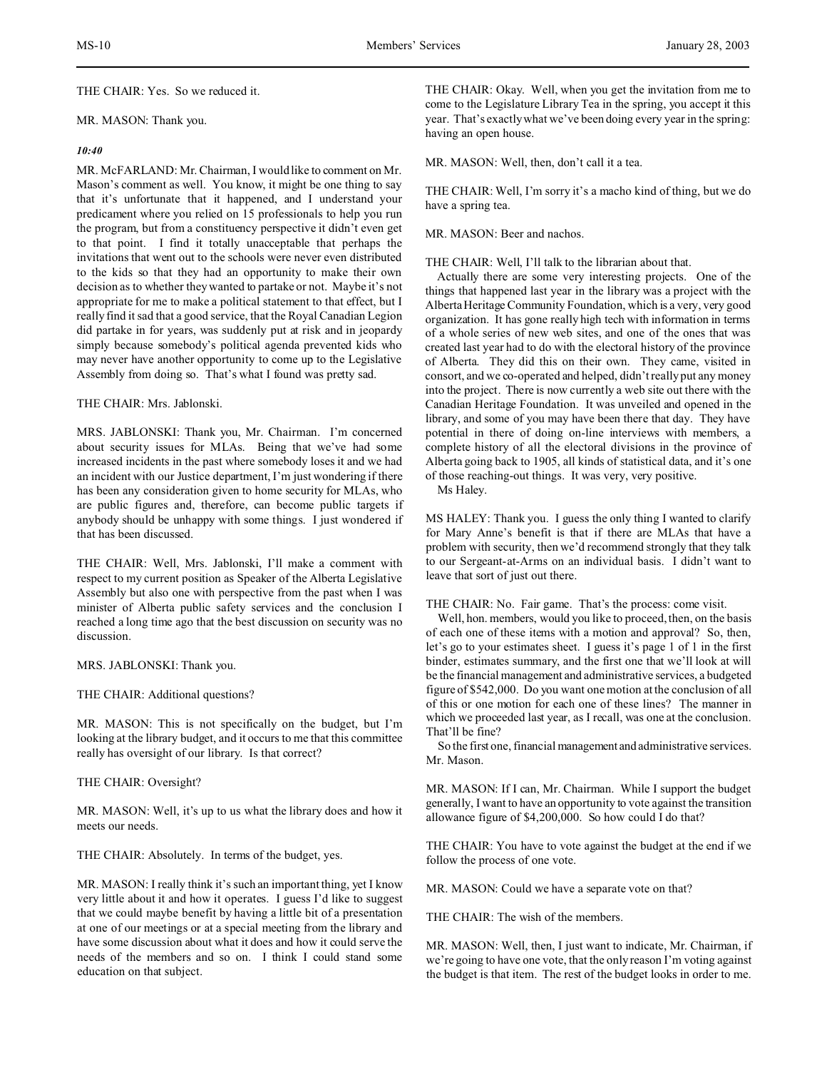THE CHAIR: Yes. So we reduced it.

### MR. MASON: Thank you.

## *10:40*

MR. McFARLAND: Mr. Chairman, I would like to comment on Mr. Mason's comment as well. You know, it might be one thing to say that it's unfortunate that it happened, and I understand your predicament where you relied on 15 professionals to help you run the program, but from a constituency perspective it didn't even get to that point. I find it totally unacceptable that perhaps the invitations that went out to the schools were never even distributed to the kids so that they had an opportunity to make their own decision as to whether they wanted to partake or not. Maybe it's not appropriate for me to make a political statement to that effect, but I really find it sad that a good service, that the Royal Canadian Legion did partake in for years, was suddenly put at risk and in jeopardy simply because somebody's political agenda prevented kids who may never have another opportunity to come up to the Legislative Assembly from doing so. That's what I found was pretty sad.

## THE CHAIR: Mrs. Jablonski.

MRS. JABLONSKI: Thank you, Mr. Chairman. I'm concerned about security issues for MLAs. Being that we've had some increased incidents in the past where somebody loses it and we had an incident with our Justice department, I'm just wondering if there has been any consideration given to home security for MLAs, who are public figures and, therefore, can become public targets if anybody should be unhappy with some things. I just wondered if that has been discussed.

THE CHAIR: Well, Mrs. Jablonski, I'll make a comment with respect to my current position as Speaker of the Alberta Legislative Assembly but also one with perspective from the past when I was minister of Alberta public safety services and the conclusion I reached a long time ago that the best discussion on security was no discussion.

MRS. JABLONSKI: Thank you.

THE CHAIR: Additional questions?

MR. MASON: This is not specifically on the budget, but I'm looking at the library budget, and it occurs to me that this committee really has oversight of our library. Is that correct?

THE CHAIR: Oversight?

MR. MASON: Well, it's up to us what the library does and how it meets our needs.

THE CHAIR: Absolutely. In terms of the budget, yes.

MR. MASON: I really think it's such an important thing, yet I know very little about it and how it operates. I guess I'd like to suggest that we could maybe benefit by having a little bit of a presentation at one of our meetings or at a special meeting from the library and have some discussion about what it does and how it could serve the needs of the members and so on. I think I could stand some education on that subject.

THE CHAIR: Okay. Well, when you get the invitation from me to come to the Legislature Library Tea in the spring, you accept it this year. That's exactly what we've been doing every year in the spring: having an open house.

MR. MASON: Well, then, don't call it a tea.

THE CHAIR: Well, I'm sorry it's a macho kind of thing, but we do have a spring tea.

MR. MASON: Beer and nachos.

THE CHAIR: Well, I'll talk to the librarian about that.

Actually there are some very interesting projects. One of the things that happened last year in the library was a project with the Alberta Heritage Community Foundation, which is a very, very good organization. It has gone really high tech with information in terms of a whole series of new web sites, and one of the ones that was created last year had to do with the electoral history of the province of Alberta. They did this on their own. They came, visited in consort, and we co-operated and helped, didn't really put any money into the project. There is now currently a web site out there with the Canadian Heritage Foundation. It was unveiled and opened in the library, and some of you may have been there that day. They have potential in there of doing on-line interviews with members, a complete history of all the electoral divisions in the province of Alberta going back to 1905, all kinds of statistical data, and it's one of those reaching-out things. It was very, very positive.

Ms Haley.

MS HALEY: Thank you. I guess the only thing I wanted to clarify for Mary Anne's benefit is that if there are MLAs that have a problem with security, then we'd recommend strongly that they talk to our Sergeant-at-Arms on an individual basis. I didn't want to leave that sort of just out there.

THE CHAIR: No. Fair game. That's the process: come visit.

Well, hon. members, would you like to proceed, then, on the basis of each one of these items with a motion and approval? So, then, let's go to your estimates sheet. I guess it's page 1 of 1 in the first binder, estimates summary, and the first one that we'll look at will be the financial management and administrative services, a budgeted figure of \$542,000. Do you want one motion at the conclusion of all of this or one motion for each one of these lines? The manner in which we proceeded last year, as I recall, was one at the conclusion. That'll be fine?

So the first one, financial management and administrative services. Mr. Mason.

MR. MASON: If I can, Mr. Chairman. While I support the budget generally, I want to have an opportunity to vote against the transition allowance figure of \$4,200,000. So how could I do that?

THE CHAIR: You have to vote against the budget at the end if we follow the process of one vote.

MR. MASON: Could we have a separate vote on that?

THE CHAIR: The wish of the members.

MR. MASON: Well, then, I just want to indicate, Mr. Chairman, if we're going to have one vote, that the only reason I'm voting against the budget is that item. The rest of the budget looks in order to me.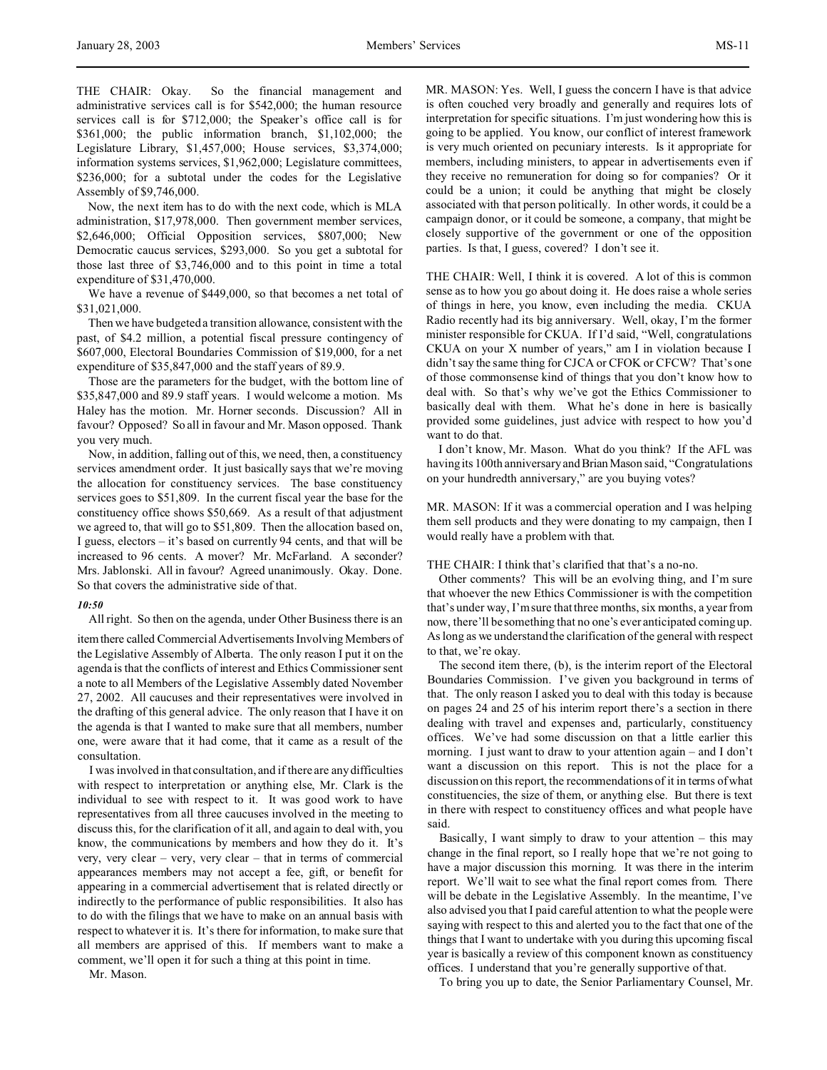THE CHAIR: Okay. So the financial management and administrative services call is for \$542,000; the human resource services call is for \$712,000; the Speaker's office call is for \$361,000; the public information branch, \$1,102,000; the Legislature Library, \$1,457,000; House services, \$3,374,000; information systems services, \$1,962,000; Legislature committees, \$236,000; for a subtotal under the codes for the Legislative Assembly of \$9,746,000.

Now, the next item has to do with the next code, which is MLA administration, \$17,978,000. Then government member services, \$2,646,000; Official Opposition services, \$807,000; New Democratic caucus services, \$293,000. So you get a subtotal for those last three of \$3,746,000 and to this point in time a total expenditure of \$31,470,000.

We have a revenue of \$449,000, so that becomes a net total of \$31,021,000.

Then we have budgeted a transition allowance, consistent with the past, of \$4.2 million, a potential fiscal pressure contingency of \$607,000, Electoral Boundaries Commission of \$19,000, for a net expenditure of \$35,847,000 and the staff years of 89.9.

Those are the parameters for the budget, with the bottom line of \$35,847,000 and 89.9 staff years. I would welcome a motion. Ms Haley has the motion. Mr. Horner seconds. Discussion? All in favour? Opposed? So all in favour and Mr. Mason opposed. Thank you very much.

Now, in addition, falling out of this, we need, then, a constituency services amendment order. It just basically says that we're moving the allocation for constituency services. The base constituency services goes to \$51,809. In the current fiscal year the base for the constituency office shows \$50,669. As a result of that adjustment we agreed to, that will go to \$51,809. Then the allocation based on, I guess, electors – it's based on currently 94 cents, and that will be increased to 96 cents. A mover? Mr. McFarland. A seconder? Mrs. Jablonski. All in favour? Agreed unanimously. Okay. Done. So that covers the administrative side of that.

### *10:50*

All right. So then on the agenda, under Other Business there is an

item there called Commercial Advertisements Involving Members of the Legislative Assembly of Alberta. The only reason I put it on the agenda is that the conflicts of interest and Ethics Commissioner sent a note to all Members of the Legislative Assembly dated November 27, 2002. All caucuses and their representatives were involved in the drafting of this general advice. The only reason that I have it on the agenda is that I wanted to make sure that all members, number one, were aware that it had come, that it came as a result of the consultation.

I was involved in that consultation, and if there are any difficulties with respect to interpretation or anything else, Mr. Clark is the individual to see with respect to it. It was good work to have representatives from all three caucuses involved in the meeting to discuss this, for the clarification of it all, and again to deal with, you know, the communications by members and how they do it. It's very, very clear – very, very clear – that in terms of commercial appearances members may not accept a fee, gift, or benefit for appearing in a commercial advertisement that is related directly or indirectly to the performance of public responsibilities. It also has to do with the filings that we have to make on an annual basis with respect to whatever it is. It's there for information, to make sure that all members are apprised of this. If members want to make a comment, we'll open it for such a thing at this point in time.

Mr. Mason.

MR. MASON: Yes. Well, I guess the concern I have is that advice is often couched very broadly and generally and requires lots of interpretation for specific situations. I'm just wondering how this is going to be applied. You know, our conflict of interest framework is very much oriented on pecuniary interests. Is it appropriate for members, including ministers, to appear in advertisements even if they receive no remuneration for doing so for companies? Or it could be a union; it could be anything that might be closely associated with that person politically. In other words, it could be a campaign donor, or it could be someone, a company, that might be closely supportive of the government or one of the opposition parties. Is that, I guess, covered? I don't see it.

THE CHAIR: Well, I think it is covered. A lot of this is common sense as to how you go about doing it. He does raise a whole series of things in here, you know, even including the media. CKUA Radio recently had its big anniversary. Well, okay, I'm the former minister responsible for CKUA. If I'd said, "Well, congratulations CKUA on your X number of years," am I in violation because I didn't say the same thing for CJCA or CFOK or CFCW? That's one of those commonsense kind of things that you don't know how to deal with. So that's why we've got the Ethics Commissioner to basically deal with them. What he's done in here is basically provided some guidelines, just advice with respect to how you'd want to do that.

I don't know, Mr. Mason. What do you think? If the AFL was having its 100th anniversaryandBrianMason said, "Congratulations on your hundredth anniversary," are you buying votes?

MR. MASON: If it was a commercial operation and I was helping them sell products and they were donating to my campaign, then I would really have a problem with that.

## THE CHAIR: I think that's clarified that that's a no-no.

Other comments? This will be an evolving thing, and I'm sure that whoever the new Ethics Commissioner is with the competition that's under way, I'm sure that three months, six months, a year from now, there'll be something that no one's ever anticipated coming up. As long as we understand the clarification of the general with respect to that, we're okay.

The second item there, (b), is the interim report of the Electoral Boundaries Commission. I've given you background in terms of that. The only reason I asked you to deal with this today is because on pages 24 and 25 of his interim report there's a section in there dealing with travel and expenses and, particularly, constituency offices. We've had some discussion on that a little earlier this morning. I just want to draw to your attention again – and I don't want a discussion on this report. This is not the place for a discussion on this report, the recommendations of it in terms of what constituencies, the size of them, or anything else. But there is text in there with respect to constituency offices and what people have said.

Basically, I want simply to draw to your attention  $-$  this may change in the final report, so I really hope that we're not going to have a major discussion this morning. It was there in the interim report. We'll wait to see what the final report comes from. There will be debate in the Legislative Assembly. In the meantime, I've also advised you that I paid careful attention to what the people were saying with respect to this and alerted you to the fact that one of the things that I want to undertake with you during this upcoming fiscal year is basically a review of this component known as constituency offices. I understand that you're generally supportive of that.

To bring you up to date, the Senior Parliamentary Counsel, Mr.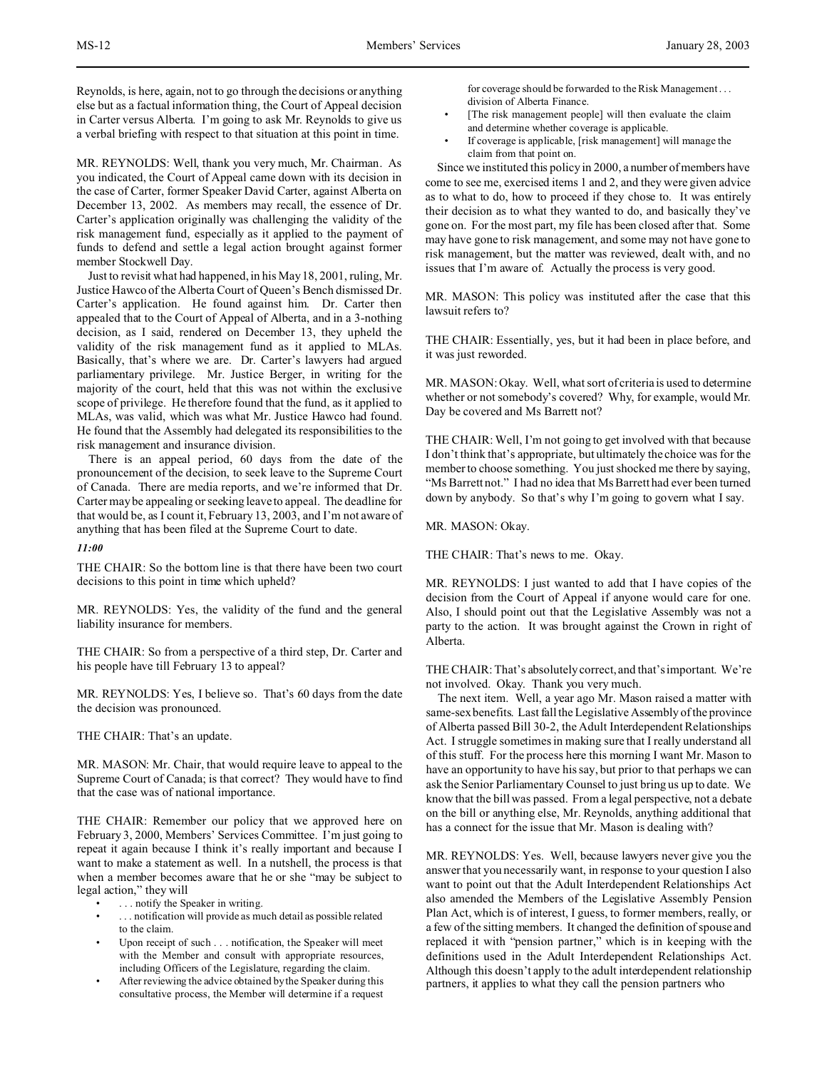Reynolds, is here, again, not to go through the decisions or anything else but as a factual information thing, the Court of Appeal decision in Carter versus Alberta. I'm going to ask Mr. Reynolds to give us a verbal briefing with respect to that situation at this point in time.

MR. REYNOLDS: Well, thank you very much, Mr. Chairman. As you indicated, the Court of Appeal came down with its decision in the case of Carter, former Speaker David Carter, against Alberta on December 13, 2002. As members may recall, the essence of Dr. Carter's application originally was challenging the validity of the risk management fund, especially as it applied to the payment of funds to defend and settle a legal action brought against former member Stockwell Day.

Just to revisit what had happened, in his May 18, 2001, ruling, Mr. Justice Hawco of the Alberta Court of Queen's Bench dismissed Dr. Carter's application. He found against him. Dr. Carter then appealed that to the Court of Appeal of Alberta, and in a 3-nothing decision, as I said, rendered on December 13, they upheld the validity of the risk management fund as it applied to MLAs. Basically, that's where we are. Dr. Carter's lawyers had argued parliamentary privilege. Mr. Justice Berger, in writing for the majority of the court, held that this was not within the exclusive scope of privilege. He therefore found that the fund, as it applied to MLAs, was valid, which was what Mr. Justice Hawco had found. He found that the Assembly had delegated its responsibilities to the risk management and insurance division.

There is an appeal period, 60 days from the date of the pronouncement of the decision, to seek leave to the Supreme Court of Canada. There are media reports, and we're informed that Dr. Carter may be appealing or seeking leave to appeal. The deadline for that would be, as I count it, February 13, 2003, and I'm not aware of anything that has been filed at the Supreme Court to date.

# *11:00*

THE CHAIR: So the bottom line is that there have been two court decisions to this point in time which upheld?

MR. REYNOLDS: Yes, the validity of the fund and the general liability insurance for members.

THE CHAIR: So from a perspective of a third step, Dr. Carter and his people have till February 13 to appeal?

MR. REYNOLDS: Yes, I believe so. That's 60 days from the date the decision was pronounced.

THE CHAIR: That's an update.

MR. MASON: Mr. Chair, that would require leave to appeal to the Supreme Court of Canada; is that correct? They would have to find that the case was of national importance.

THE CHAIR: Remember our policy that we approved here on February 3, 2000, Members' Services Committee. I'm just going to repeat it again because I think it's really important and because I want to make a statement as well. In a nutshell, the process is that when a member becomes aware that he or she "may be subject to legal action," they will

- ... notify the Speaker in writing.
- . . . notification will provide as much detail as possible related to the claim.
- Upon receipt of such . . . notification, the Speaker will meet with the Member and consult with appropriate resources, including Officers of the Legislature, regarding the claim.
- After reviewing the advice obtained by the Speaker during this consultative process, the Member will determine if a request

for coverage should be forwarded to the Risk Management . . . division of Alberta Finance.

- [The risk management people] will then evaluate the claim and determine whether coverage is applicable.
- If coverage is applicable, [risk management] will manage the claim from that point on.

Since we instituted this policy in 2000, a number of members have come to see me, exercised items 1 and 2, and they were given advice as to what to do, how to proceed if they chose to. It was entirely their decision as to what they wanted to do, and basically they've gone on. For the most part, my file has been closed after that. Some may have gone to risk management, and some may not have gone to risk management, but the matter was reviewed, dealt with, and no issues that I'm aware of. Actually the process is very good.

MR. MASON: This policy was instituted after the case that this lawsuit refers to?

THE CHAIR: Essentially, yes, but it had been in place before, and it was just reworded.

MR. MASON: Okay. Well, what sort of criteria is used to determine whether or not somebody's covered? Why, for example, would Mr. Day be covered and Ms Barrett not?

THE CHAIR: Well, I'm not going to get involved with that because I don't think that's appropriate, but ultimately the choice was for the member to choose something. You just shocked me there by saying, "Ms Barrett not." I had no idea that Ms Barrett had ever been turned down by anybody. So that's why I'm going to govern what I say.

MR. MASON: Okay.

THE CHAIR: That's news to me. Okay.

MR. REYNOLDS: I just wanted to add that I have copies of the decision from the Court of Appeal if anyone would care for one. Also, I should point out that the Legislative Assembly was not a party to the action. It was brought against the Crown in right of Alberta.

THE CHAIR: That's absolutely correct, and that's important. We're not involved. Okay. Thank you very much.

The next item. Well, a year ago Mr. Mason raised a matter with same-sex benefits. Last fall the Legislative Assembly of the province of Alberta passed Bill 30-2, the Adult Interdependent Relationships Act. I struggle sometimes in making sure that I really understand all of this stuff. For the process here this morning I want Mr. Mason to have an opportunity to have his say, but prior to that perhaps we can ask the Senior Parliamentary Counsel to just bring us up to date. We know that the bill was passed. From a legal perspective, not a debate on the bill or anything else, Mr. Reynolds, anything additional that has a connect for the issue that Mr. Mason is dealing with?

MR. REYNOLDS: Yes. Well, because lawyers never give you the answer that you necessarily want, in response to your question I also want to point out that the Adult Interdependent Relationships Act also amended the Members of the Legislative Assembly Pension Plan Act, which is of interest, I guess, to former members, really, or a few of the sitting members. It changed the definition of spouse and replaced it with "pension partner," which is in keeping with the definitions used in the Adult Interdependent Relationships Act. Although this doesn't apply to the adult interdependent relationship partners, it applies to what they call the pension partners who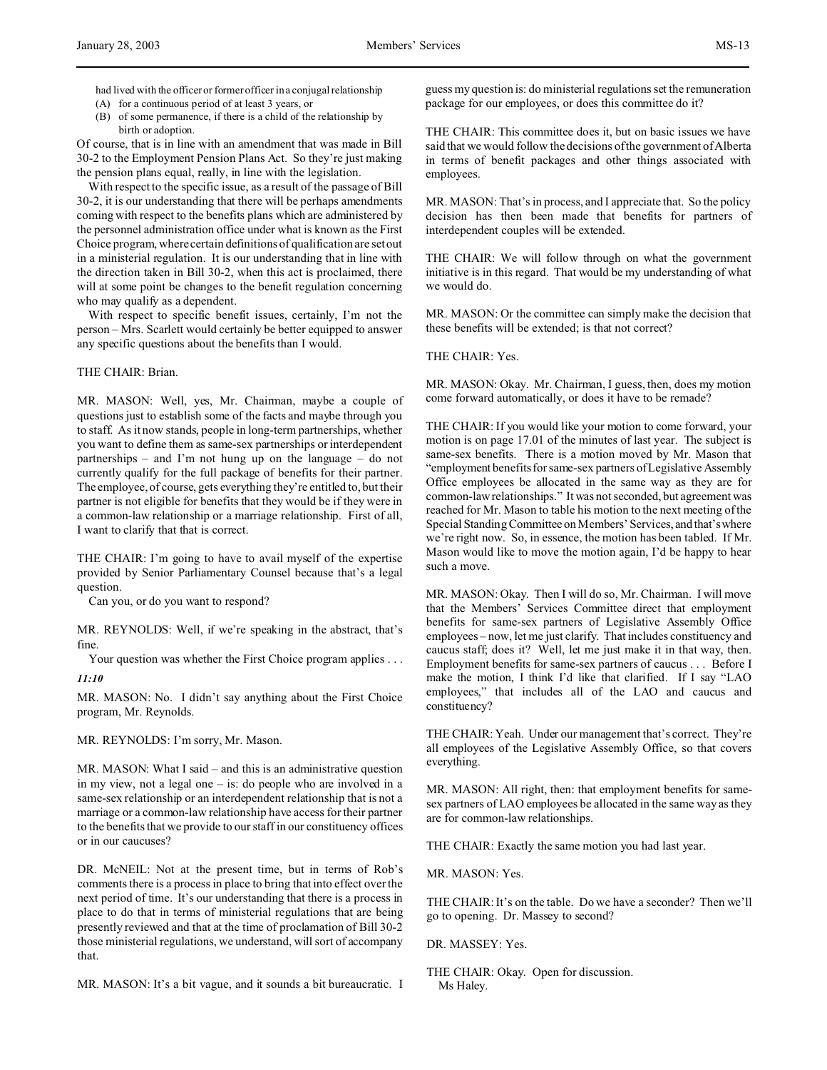- had lived with the officer or former officer in a conjugal relationship
- (A) for a continuous period of at least 3 years, or
- (B) of some permanence, if there is a child of the relationship by birth or adoption.

Of course, that is in line with an amendment that was made in Bill 30-2 to the Employment Pension Plans Act. So they're just making the pension plans equal, really, in line with the legislation.

With respect to the specific issue, as a result of the passage of Bill 30-2, it is our understanding that there will be perhaps amendments coming with respect to the benefits plans which are administered by the personnel administration office under what is known as the First Choice program, where certain definitions of qualification are set out in a ministerial regulation. It is our understanding that in line with the direction taken in Bill 30-2, when this act is proclaimed, there will at some point be changes to the benefit regulation concerning who may qualify as a dependent.

With respect to specific benefit issues, certainly, I'm not the person – Mrs. Scarlett would certainly be better equipped to answer any specific questions about the benefits than I would.

## THE CHAIR: Brian.

MR. MASON: Well, yes, Mr. Chairman, maybe a couple of questions just to establish some of the facts and maybe through you to staff. As it now stands, people in long-term partnerships, whether you want to define them as same-sex partnerships or interdependent partnerships – and I'm not hung up on the language – do not currently qualify for the full package of benefits for their partner. The employee, of course, gets everything they're entitled to, but their partner is not eligible for benefits that they would be if they were in a common-law relationship or a marriage relationship. First of all, I want to clarify that that is correct.

THE CHAIR: I'm going to have to avail myself of the expertise provided by Senior Parliamentary Counsel because that's a legal question.

Can you, or do you want to respond?

MR. REYNOLDS: Well, if we're speaking in the abstract, that's fine.

Your question was whether the First Choice program applies . . . *11:10*

MR. MASON: No. I didn't say anything about the First Choice program, Mr. Reynolds.

MR. REYNOLDS: I'm sorry, Mr. Mason.

MR. MASON: What I said – and this is an administrative question in my view, not a legal one – is: do people who are involved in a same-sex relationship or an interdependent relationship that is not a marriage or a common-law relationship have access for their partner to the benefits that we provide to our staff in our constituency offices or in our caucuses?

DR. McNEIL: Not at the present time, but in terms of Rob's comments there is a process in place to bring that into effect over the next period of time. It's our understanding that there is a process in place to do that in terms of ministerial regulations that are being presently reviewed and that at the time of proclamation of Bill 30-2 those ministerial regulations, we understand, will sort of accompany that.

MR. MASON: It's a bit vague, and it sounds a bit bureaucratic. I

guess my question is: do ministerial regulations set the remuneration package for our employees, or does this committee do it?

THE CHAIR: This committee does it, but on basic issues we have said that we would follow the decisions of the government of Alberta in terms of benefit packages and other things associated with employees.

MR. MASON: That's in process, and I appreciate that. So the policy decision has then been made that benefits for partners of interdependent couples will be extended.

THE CHAIR: We will follow through on what the government initiative is in this regard. That would be my understanding of what we would do.

MR. MASON: Or the committee can simply make the decision that these benefits will be extended; is that not correct?

# THE CHAIR: Yes.

MR. MASON: Okay. Mr. Chairman, I guess, then, does my motion come forward automatically, or does it have to be remade?

THE CHAIR: If you would like your motion to come forward, your motion is on page 17.01 of the minutes of last year. The subject is same-sex benefits. There is a motion moved by Mr. Mason that "employment benefits for same-sex partners of Legislative Assembly Office employees be allocated in the same way as they are for common-law relationships." It was not seconded, but agreement was reached for Mr. Mason to table his motion to the next meeting of the Special Standing Committee on Members' Services, and that'swhere we're right now. So, in essence, the motion has been tabled. If Mr. Mason would like to move the motion again, I'd be happy to hear such a move.

MR. MASON: Okay. Then I will do so, Mr. Chairman. I will move that the Members' Services Committee direct that employment benefits for same-sex partners of Legislative Assembly Office employees – now, let me just clarify. That includes constituency and caucus staff; does it? Well, let me just make it in that way, then. Employment benefits for same-sex partners of caucus . . . Before I make the motion, I think I'd like that clarified. If I say "LAO employees," that includes all of the LAO and caucus and constituency?

THE CHAIR: Yeah. Under our management that's correct. They're all employees of the Legislative Assembly Office, so that covers everything.

MR. MASON: All right, then: that employment benefits for samesex partners of LAO employees be allocated in the same way as they are for common-law relationships.

THE CHAIR: Exactly the same motion you had last year.

MR. MASON: Yes.

THE CHAIR: It's on the table. Do we have a seconder? Then we'll go to opening. Dr. Massey to second?

DR. MASSEY: Yes.

THE CHAIR: Okay. Open for discussion. Ms Haley.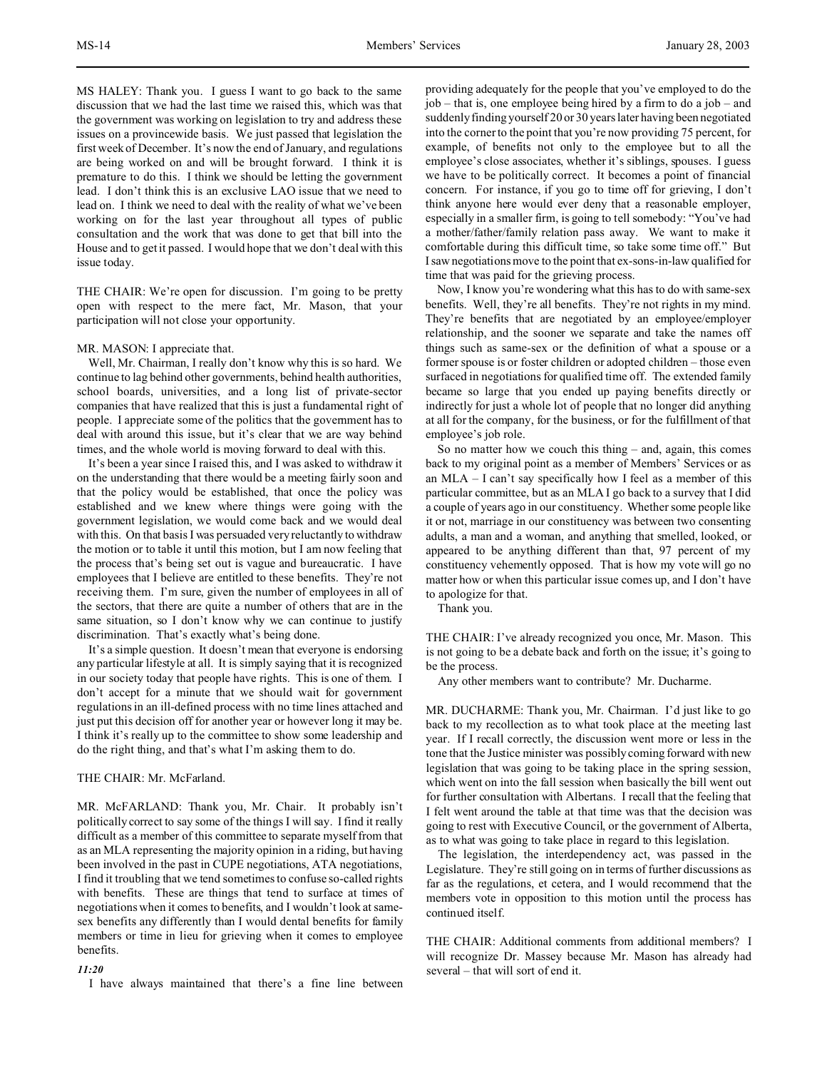MS HALEY: Thank you. I guess I want to go back to the same discussion that we had the last time we raised this, which was that the government was working on legislation to try and address these issues on a provincewide basis. We just passed that legislation the first week of December. It's now the end of January, and regulations are being worked on and will be brought forward. I think it is premature to do this. I think we should be letting the government lead. I don't think this is an exclusive LAO issue that we need to lead on. I think we need to deal with the reality of what we've been working on for the last year throughout all types of public consultation and the work that was done to get that bill into the House and to get it passed. I would hope that we don't deal with this issue today.

THE CHAIR: We're open for discussion. I'm going to be pretty open with respect to the mere fact, Mr. Mason, that your participation will not close your opportunity.

### MR. MASON: I appreciate that.

Well, Mr. Chairman, I really don't know why this is so hard. We continue to lag behind other governments, behind health authorities, school boards, universities, and a long list of private-sector companies that have realized that this is just a fundamental right of people. I appreciate some of the politics that the government has to deal with around this issue, but it's clear that we are way behind times, and the whole world is moving forward to deal with this.

It's been a year since I raised this, and I was asked to withdraw it on the understanding that there would be a meeting fairly soon and that the policy would be established, that once the policy was established and we knew where things were going with the government legislation, we would come back and we would deal with this. On that basis I was persuaded very reluctantly to withdraw the motion or to table it until this motion, but I am now feeling that the process that's being set out is vague and bureaucratic. I have employees that I believe are entitled to these benefits. They're not receiving them. I'm sure, given the number of employees in all of the sectors, that there are quite a number of others that are in the same situation, so I don't know why we can continue to justify discrimination. That's exactly what's being done.

It's a simple question. It doesn't mean that everyone is endorsing any particular lifestyle at all. It is simply saying that it is recognized in our society today that people have rights. This is one of them. I don't accept for a minute that we should wait for government regulations in an ill-defined process with no time lines attached and just put this decision off for another year or however long it may be. I think it's really up to the committee to show some leadership and do the right thing, and that's what I'm asking them to do.

# THE CHAIR: Mr. McFarland.

MR. McFARLAND: Thank you, Mr. Chair. It probably isn't politically correct to say some of the things I will say. I find it really difficult as a member of this committee to separate myself from that as an MLA representing the majority opinion in a riding, but having been involved in the past in CUPE negotiations, ATA negotiations, I find it troubling that we tend sometimes to confuse so-called rights with benefits. These are things that tend to surface at times of negotiations when it comes to benefits, and I wouldn't look at samesex benefits any differently than I would dental benefits for family members or time in lieu for grieving when it comes to employee benefits.

### *11:20*

I have always maintained that there's a fine line between

providing adequately for the people that you've employed to do the job – that is, one employee being hired by a firm to do a job – and suddenly finding yourself 20 or 30 years later having been negotiated into the corner to the point that you're now providing 75 percent, for example, of benefits not only to the employee but to all the employee's close associates, whether it's siblings, spouses. I guess we have to be politically correct. It becomes a point of financial concern. For instance, if you go to time off for grieving, I don't think anyone here would ever deny that a reasonable employer, especially in a smaller firm, is going to tell somebody: "You've had a mother/father/family relation pass away. We want to make it comfortable during this difficult time, so take some time off." But I saw negotiations move to the point that ex-sons-in-law qualified for time that was paid for the grieving process.

Now, I know you're wondering what this has to do with same-sex benefits. Well, they're all benefits. They're not rights in my mind. They're benefits that are negotiated by an employee/employer relationship, and the sooner we separate and take the names off things such as same-sex or the definition of what a spouse or a former spouse is or foster children or adopted children – those even surfaced in negotiations for qualified time off. The extended family became so large that you ended up paying benefits directly or indirectly for just a whole lot of people that no longer did anything at all for the company, for the business, or for the fulfillment of that employee's job role.

So no matter how we couch this thing – and, again, this comes back to my original point as a member of Members' Services or as an MLA – I can't say specifically how I feel as a member of this particular committee, but as an MLA I go back to a survey that I did a couple of years ago in our constituency. Whether some people like it or not, marriage in our constituency was between two consenting adults, a man and a woman, and anything that smelled, looked, or appeared to be anything different than that, 97 percent of my constituency vehemently opposed. That is how my vote will go no matter how or when this particular issue comes up, and I don't have to apologize for that.

Thank you.

THE CHAIR: I've already recognized you once, Mr. Mason. This is not going to be a debate back and forth on the issue; it's going to be the process.

Any other members want to contribute? Mr. Ducharme.

MR. DUCHARME: Thank you, Mr. Chairman. I'd just like to go back to my recollection as to what took place at the meeting last year. If I recall correctly, the discussion went more or less in the tone that the Justice minister was possibly coming forward with new legislation that was going to be taking place in the spring session, which went on into the fall session when basically the bill went out for further consultation with Albertans. I recall that the feeling that I felt went around the table at that time was that the decision was going to rest with Executive Council, or the government of Alberta, as to what was going to take place in regard to this legislation.

The legislation, the interdependency act, was passed in the Legislature. They're still going on in terms of further discussions as far as the regulations, et cetera, and I would recommend that the members vote in opposition to this motion until the process has continued itself.

THE CHAIR: Additional comments from additional members? I will recognize Dr. Massey because Mr. Mason has already had several – that will sort of end it.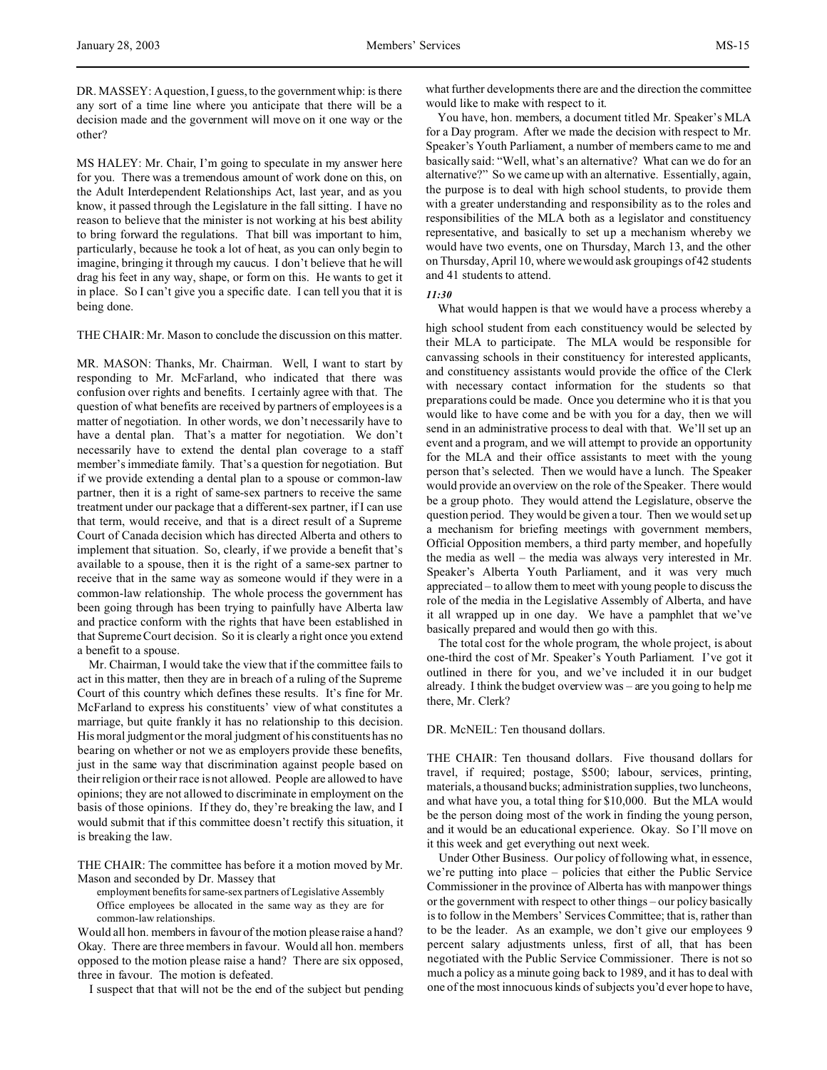DR. MASSEY: A question, I guess, to the government whip: is there any sort of a time line where you anticipate that there will be a decision made and the government will move on it one way or the other?

MS HALEY: Mr. Chair, I'm going to speculate in my answer here for you. There was a tremendous amount of work done on this, on the Adult Interdependent Relationships Act, last year, and as you know, it passed through the Legislature in the fall sitting. I have no reason to believe that the minister is not working at his best ability to bring forward the regulations. That bill was important to him, particularly, because he took a lot of heat, as you can only begin to imagine, bringing it through my caucus. I don't believe that he will drag his feet in any way, shape, or form on this. He wants to get it in place. So I can't give you a specific date. I can tell you that it is being done.

THE CHAIR: Mr. Mason to conclude the discussion on this matter.

MR. MASON: Thanks, Mr. Chairman. Well, I want to start by responding to Mr. McFarland, who indicated that there was confusion over rights and benefits. I certainly agree with that. The question of what benefits are received by partners of employees is a matter of negotiation. In other words, we don't necessarily have to have a dental plan. That's a matter for negotiation. We don't necessarily have to extend the dental plan coverage to a staff member's immediate family. That's a question for negotiation. But if we provide extending a dental plan to a spouse or common-law partner, then it is a right of same-sex partners to receive the same treatment under our package that a different-sex partner, if I can use that term, would receive, and that is a direct result of a Supreme Court of Canada decision which has directed Alberta and others to implement that situation. So, clearly, if we provide a benefit that's available to a spouse, then it is the right of a same-sex partner to receive that in the same way as someone would if they were in a common-law relationship. The whole process the government has been going through has been trying to painfully have Alberta law and practice conform with the rights that have been established in that Supreme Court decision. So it is clearly a right once you extend a benefit to a spouse.

Mr. Chairman, I would take the view that if the committee fails to act in this matter, then they are in breach of a ruling of the Supreme Court of this country which defines these results. It's fine for Mr. McFarland to express his constituents' view of what constitutes a marriage, but quite frankly it has no relationship to this decision. His moral judgment or the moral judgment of his constituents has no bearing on whether or not we as employers provide these benefits, just in the same way that discrimination against people based on their religion or their race is not allowed. People are allowed to have opinions; they are not allowed to discriminate in employment on the basis of those opinions. If they do, they're breaking the law, and I would submit that if this committee doesn't rectify this situation, it is breaking the law.

THE CHAIR: The committee has before it a motion moved by Mr. Mason and seconded by Dr. Massey that

employment benefits for same-sex partners of Legislative Assembly Office employees be allocated in the same way as they are for common-law relationships.

Would all hon. members in favour of the motion please raise a hand? Okay. There are three members in favour. Would all hon. members opposed to the motion please raise a hand? There are six opposed, three in favour. The motion is defeated.

I suspect that that will not be the end of the subject but pending

what further developments there are and the direction the committee would like to make with respect to it.

You have, hon. members, a document titled Mr. Speaker's MLA for a Day program. After we made the decision with respect to Mr. Speaker's Youth Parliament, a number of members came to me and basically said: "Well, what's an alternative? What can we do for an alternative?" So we came up with an alternative. Essentially, again, the purpose is to deal with high school students, to provide them with a greater understanding and responsibility as to the roles and responsibilities of the MLA both as a legislator and constituency representative, and basically to set up a mechanism whereby we would have two events, one on Thursday, March 13, and the other on Thursday, April 10, where we would ask groupings of 42 students and 41 students to attend.

## *11:30*

What would happen is that we would have a process whereby a

high school student from each constituency would be selected by their MLA to participate. The MLA would be responsible for canvassing schools in their constituency for interested applicants, and constituency assistants would provide the office of the Clerk with necessary contact information for the students so that preparations could be made. Once you determine who it is that you would like to have come and be with you for a day, then we will send in an administrative process to deal with that. We'll set up an event and a program, and we will attempt to provide an opportunity for the MLA and their office assistants to meet with the young person that's selected. Then we would have a lunch. The Speaker would provide an overview on the role of the Speaker. There would be a group photo. They would attend the Legislature, observe the question period. They would be given a tour. Then we would set up a mechanism for briefing meetings with government members, Official Opposition members, a third party member, and hopefully the media as well – the media was always very interested in Mr. Speaker's Alberta Youth Parliament, and it was very much appreciated – to allow them to meet with young people to discuss the role of the media in the Legislative Assembly of Alberta, and have it all wrapped up in one day. We have a pamphlet that we've basically prepared and would then go with this.

The total cost for the whole program, the whole project, is about one-third the cost of Mr. Speaker's Youth Parliament. I've got it outlined in there for you, and we've included it in our budget already. I think the budget overview was – are you going to help me there, Mr. Clerk?

## DR. McNEIL: Ten thousand dollars.

THE CHAIR: Ten thousand dollars. Five thousand dollars for travel, if required; postage, \$500; labour, services, printing, materials, a thousand bucks; administration supplies, two luncheons, and what have you, a total thing for \$10,000. But the MLA would be the person doing most of the work in finding the young person, and it would be an educational experience. Okay. So I'll move on it this week and get everything out next week.

Under Other Business. Our policy of following what, in essence, we're putting into place – policies that either the Public Service Commissioner in the province of Alberta has with manpower things or the government with respect to other things – our policy basically is to follow in the Members' Services Committee; that is, rather than to be the leader. As an example, we don't give our employees 9 percent salary adjustments unless, first of all, that has been negotiated with the Public Service Commissioner. There is not so much a policy as a minute going back to 1989, and it has to deal with one of the most innocuous kinds of subjects you'd ever hope to have,